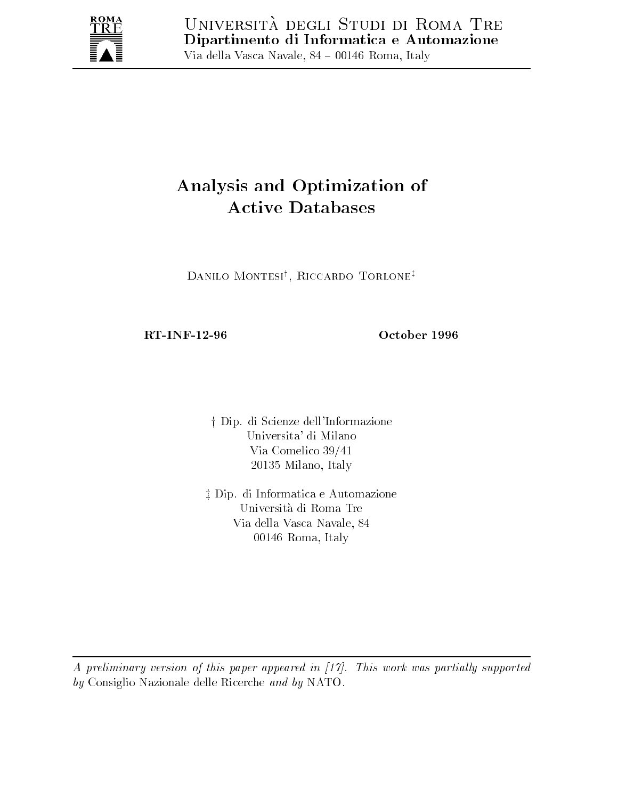

# Analysis and Optimization of

Danilo Montesiy Riccardo Torlonez

RT-INF-12-96

October 1996

die dip di Scienze della Scienze della Scienze della Scienze della Constanza della Constanza della Constanza d Universita' di Milano Via Comelico  milano in milano in milano i

or e primeiro e antener e antener e automazione e automazione e automazione e automazione e automazione e alla Universita di Roma Tre Via della Vasca Navale - 00146 Roma, Italy

A preliminary version of this paper appeared in - This work was partial ly supported by Consiglio Nazionale delle Ricerche and by NATO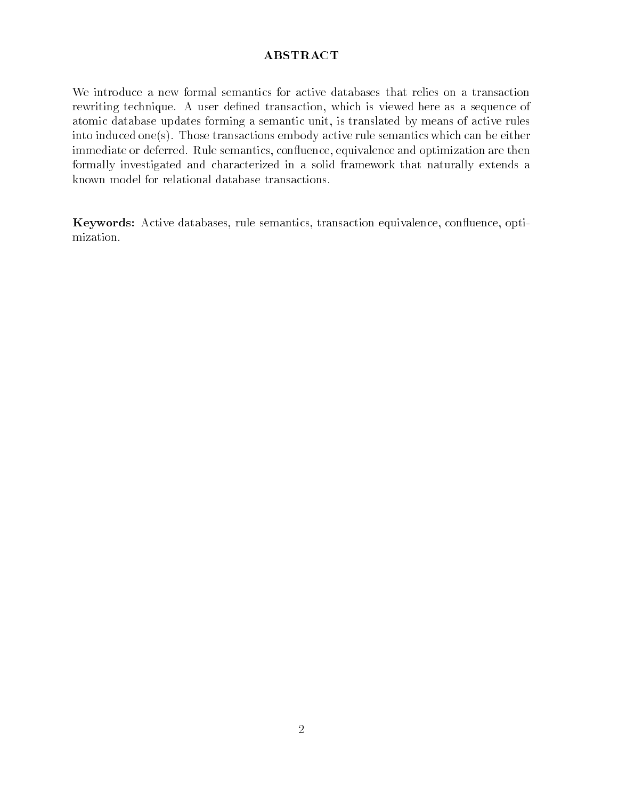## ABSTRACT

We introduce a new formal semantics for active databases that relies on a transaction rewriting technique. A user defined transaction, which is viewed here as a sequence of atomic database updates forming a semantic unit, is translated by means of active rules into induced one(s). Those transactions embody active rule semantics which can be either immediate or deferred. Rule semantics, confluence, equivalence and optimization are then formally investigated and characterized in a solid framework that naturally extends a known model for relational database transactions

Keywords: Active databases, rule semantics, transaction equivalence, confluence, optimization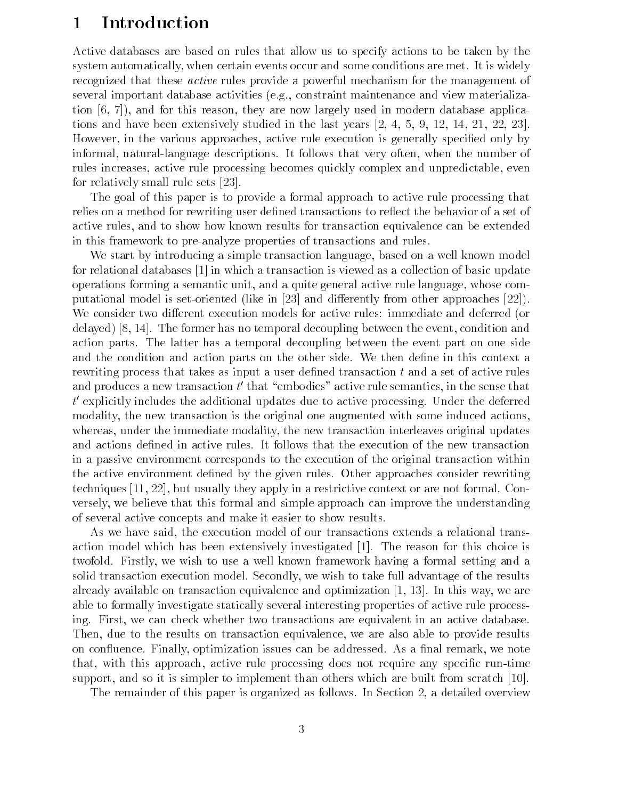# Introduction

Active databases are based on rules that allow us to specify actions to be taken by the system automatically, when certain events occur and some conditions are met. It is widely recognized that these active rules provide a powerful mechanism for the management of several important database activities (e.g., constraint maintenance and view materialization  $[6, 7]$ , and for this reason, they are now largely used in modern database applications and have been extensively studied in the last years 

 However, in the various approaches, active rule execution is generally specified only by informal, natural-language descriptions. It follows that very often, when the number of rules increases active rule processing becomes quickly complex and unpredictable even for relatively small rule sets

The goal of this paper is to provide a formal approach to active rule processing that relies on a method for rewriting user defined transactions to reflect the behavior of a set of active rules, and to show how known results for transaction equivalence can be extended in this framework to pre-analyze properties of transactions and rules.

We start by introducing a simple transaction language, based on a well known model for relational databases  $\left[1\right]$  in which a transaction is viewed as a collection of basic update operations forming a semantic unit and a quite general active rule language whose com putational model is set of the interest in the contract in the set of the set of  $\mathbb{P}^n$  is a probability from  $\mathbb{P}^n$ We consider two different execution models for active rules: immediate and deferred (or delay and former the former than the former than the event conditions of the event conditions where  $\alpha$ action parts. The latter has a temporal decoupling between the event part on one side and the condition and action parts on the other side. We then define in this context a rewriting process that takes as input a user defined transaction  $t$  and a set of active rules and produces a new transaction  $t$  that embodies active rule semantics, in the sense that  $\pm$  $\iota$  explicitly includes the additional updates due to active processing. Under the deferred modality, the new transaction is the original one augmented with some induced actions. whereas, under the immediate modality, the new transaction interleaves original updates and actions defined in active rules. It follows that the execution of the new transaction in a passive environment corresponds to the execution of the original transaction within the active environment defined by the given rules. Other approaches consider rewriting techniques  $[11, 22]$ , but usually they apply in a restrictive context or are not formal. Conversely we believe that this formal and simple approach can improve the understanding of several active concepts and make it easier to show results

As we have said, the execution model of our transactions extends a relational transaction model which has been extensively investigated [1]. The reason for this choice is twofold. Firstly, we wish to use a well known framework having a formal setting and a solid transaction execution model. Secondly, we wish to take full advantage of the results already available on transaction equivalence and optimization In this way we are able to formally investigate statically several interesting properties of active rule process ing. First, we can check whether two transactions are equivalent in an active database. Then, due to the results on transaction equivalence, we are also able to provide results on confluence. Finally, optimization issues can be addressed. As a final remark, we note that, with this approach, active rule processing does not require any specific run-time support, and so it is simpler to implement than others which are built from scratch  $[10]$ .

The remainder of this paper is organized as follows. In Section 2, a detailed overview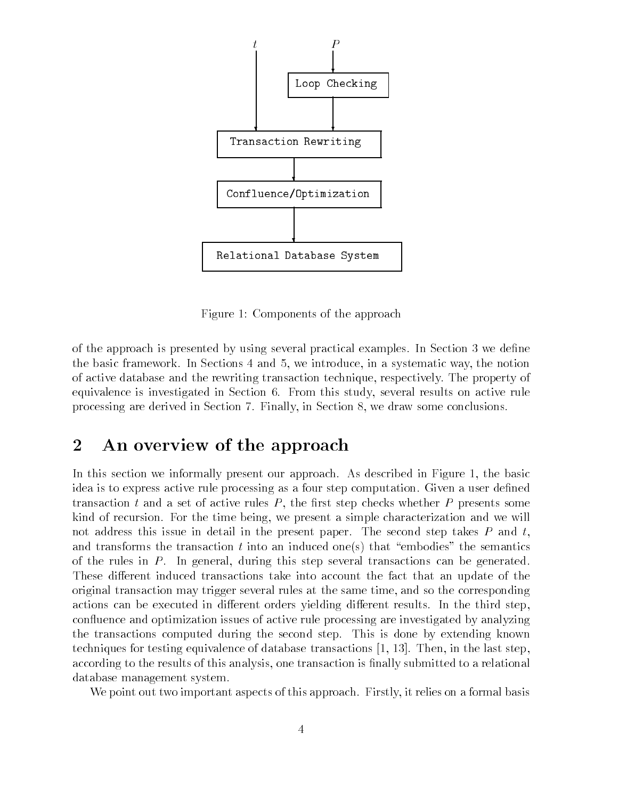

Figure 1: Components of the approach

of the approach is presented by using several practical examples In Section In Section 2006 the basic framework. In Sections 4 and 5, we introduce, in a systematic way, the notion of active database and the rewriting transaction technique respectively The property of equivalence is investigated in Section 6. From this study, several results on active rule processing are derived in Section Finally in Section - we draw some conclusions

#### $\overline{2}$ An overview of the approach

In this section we informally present our approach. As described in Figure 1, the basic idea is to express active rule processing as a four step computation. Given a user defined transaction t and a set of active rules  $P$ , the first step checks whether  $P$  presents some kind of recursion. For the time being, we present a simple characterization and we will not address this issue in detail in the present paper. The second step takes  $P$  and  $t$ , and transforms the transaction t into an induced ones that "embodies" the semantics of the rules in  $P$ . In general, during this step several transactions can be generated. These different induced transactions take into account the fact that an update of the original transaction may trigger several rules at the same time, and so the corresponding actions can be executed in different orders yielding different results. In the third step. confluence and optimization issues of active rule processing are investigated by analyzing the transactions computed during the second step. This is done by extending known techniques for testing equivalence of database transactions Then in the last step according to the results of this analysis, one transaction is finally submitted to a relational database management system

We point out two important aspects of this approach. Firstly, it relies on a formal basis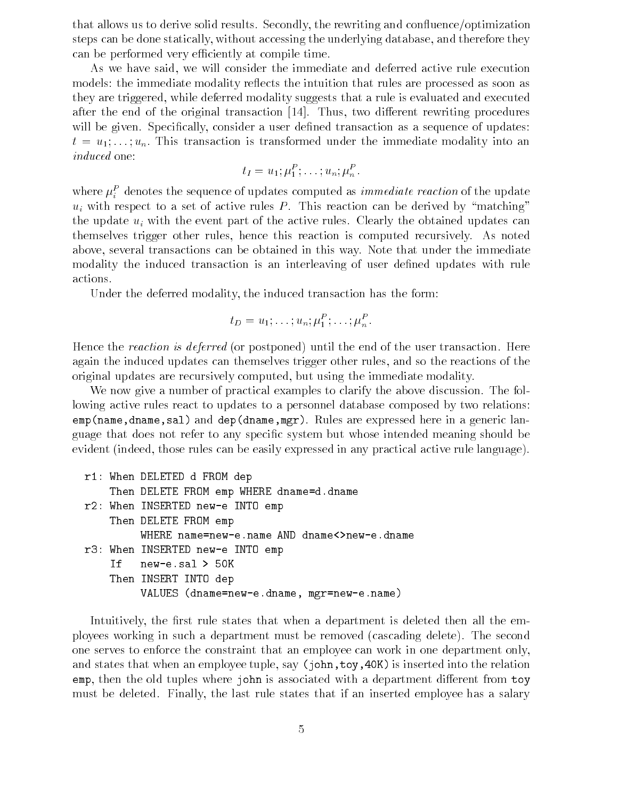that allows us to derive solid results. Secondly, the rewriting and confluence/optimization steps can be done statically, without accessing the underlying database, and therefore they can be performed very efficiently at compile time.

As we have said, we will consider the immediate and deferred active rule execution models: the immediate modality reflects the intuition that rules are processed as soon as they are triggered, while deferred modality suggests that a rule is evaluated and executed after the end of the original transaction  $[14]$ . Thus, two different rewriting procedures will be given. Specifically, consider a user defined transaction as a sequence of updates:  $t = u_1, \ldots, u_n$ . This transaction is transformed under the immediate modality into an induced one

 $u_I = u_1, \mu_1, \ldots, u_n, \mu_n$ 

where  $\mu_i^-$  denotes the sequence of updates computed as *immediate reaction* of the update  $u_i$  with respect to a set of active rules P. This reaction can be derived by "matching" the update  $u_i$  with the event part of the active rules. Clearly the obtained updates can themselves trigger other rules, hence this reaction is computed recursively. As noted above, several transactions can be obtained in this way. Note that under the immediate modality the induced transaction is an interleaving of user defined updates with rule actions

Under the deferred modality, the induced transaction has the form:

$$
t_D = u_1; \ldots; u_n; \mu_1^P; \ldots; \mu_n^P.
$$

Hence the reaction is deferred (or postponed) until the end of the user transaction. Here again the induced updates can themselves trigger other rules and so the reactions of the original updates are recursively computed, but using the immediate modality.

We now give a number of practical examples to clarify the above discussion. The following active rules react to updates to a personnel database composed by two relations emp-namednamesal and dep-dnamemgr Rules are expressed here in a generic lan guage that does not refer to any specific system but whose intended meaning should be evident (indeed, those rules can be easily expressed in any practical active rule language).

```
r1: When DELETED d FROM dep
        Then DELETE FROM emp WHERE dname=d.dname
r When Inserted newspapers are interesting to the Inserted newspapers and the Inserted newspapers are interesting to the Inserted newspapers and the Inserted newspapers are interesting to the Inserted newspapers and the In
        Then DELETE FROM emp
records the INSERTED newspaper in the INSERTED newspaper in the INSERTED newspaper in the INSERTED newspaper in
        If
        Then INSERT INTO dep
                    VALUES -
dnamenew
edname mgrnew
ename
```
Intuitively, the first rule states that when a department is deleted then all the employees working in such a department must be removed (cascading delete). The second one serves to enforce the constraint that an employee can work in one department only and states that when an employee tuple say  $\mathbf{A}$  is instruction to the relation of the relationship of the relationship of the relationship of the relationship of the relationship of the relationship of the relationshi emp, then the old tuples where john is associated with a department different from toy must be deleted. Finally, the last rule states that if an inserted employee has a salary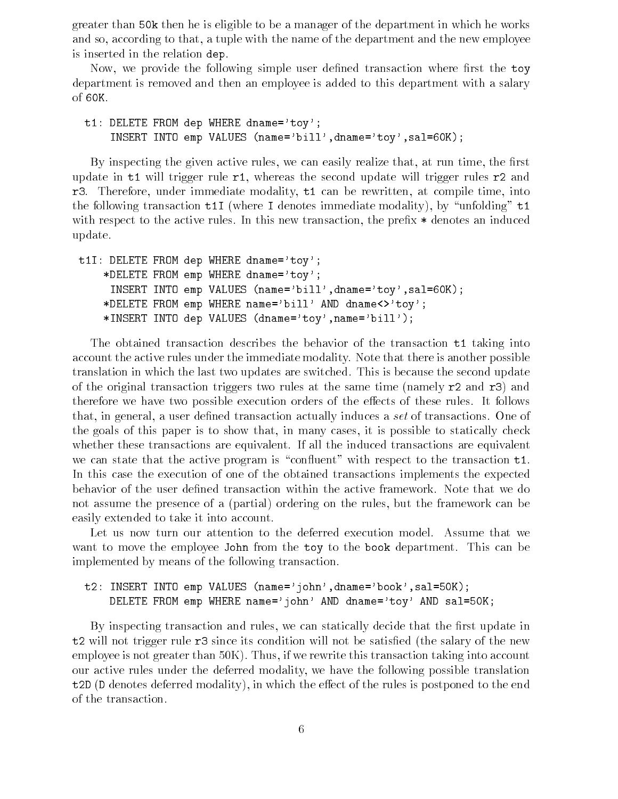greater than 50k then he is eligible to be a manager of the department in which he works and so, according to that, a tuple with the name of the department and the new employee is inserted in the relation dep

Now, we provide the following simple user defined transaction where first the toy department is removed and then an employee is added to this department with a salary of 60K.

t1: DELETE FROM dep WHERE dname='toy'; namebilland into the service of the control of the state of the state of the state of the state of the state o

By inspecting the given active rules, we can easily realize that, at run time, the first update in  $t1$  will trigger rule  $r1$ , whereas the second update will trigger rules  $r2$  and r3. Therefore, under immediate modality, t1 can be rewritten, at compile time, into the following transaction  $t1I$  (where I denotes immediate modality), by "unfolding"  $t1$ with respect to the active rules. In this new transaction, the prefix  $*$  denotes an induced update

```
t1I: DELETE FROM dep WHERE dname='toy';
          *DELETE FROM emp WHERE dname='toy';
             namebilldnametowsalka into energy values of the control of the control of the control of the control of the control of the control of the control of the control of the control of the control of the control of the control o
          *DELETE FROM emp WHERE name='bill' AND dname<>'toy';
          Insert into deposit in the contract into dependent of the contract of the contract of the contract of the contract of the contract of the contract of the contract of the contract of the contract of the contract of the cont
```
The obtained transaction describes the behavior of the transaction t1 taking into account the active rules under the immediate modality Note that there is another possible translation in which the last two updates are switched. This is because the second update of the original transaction triggers two rules at the same time (namely  $r2$  and  $r3$ ) and therefore we have two possible execution orders of the effects of these rules. It follows that, in general, a user defined transaction actually induces a set of transactions. One of the goals of this paper is to show that, in many cases, it is possible to statically check whether these transactions are equivalent. If all the induced transactions are equivalent we can state that the active program is "confluent" with respect to the transaction  $t_1$ . In this case the execution of one of the obtained transactions implements the expected behavior of the user defined transaction within the active framework. Note that we do not assume the presence of a (partial) ordering on the rules, but the framework can be easily extended to take it into account

Let us now turn our attention to the deferred execution model Assume that we want to move the employee John from the toy to the book department. This can be implemented by means of the following transaction

## the internal control into the control of the control of the control of the control of the control of the control of the control of the control of the control of the control of the control of the control of the control of t DELETE FROM emp WHERE name='john' AND dname='toy' AND sal=50K;

By inspecting transaction and rules, we can statically decide that the first update in  $t2$  will not trigger rule  $r3$  since its condition will not be satisfied (the salary of the new employee is not greater than  $50K$ ). Thus, if we rewrite this transaction taking into account our active rules under the deferred modality we have the following possible translation  $t2D$  (D denotes deferred modality), in which the effect of the rules is postponed to the end of the transaction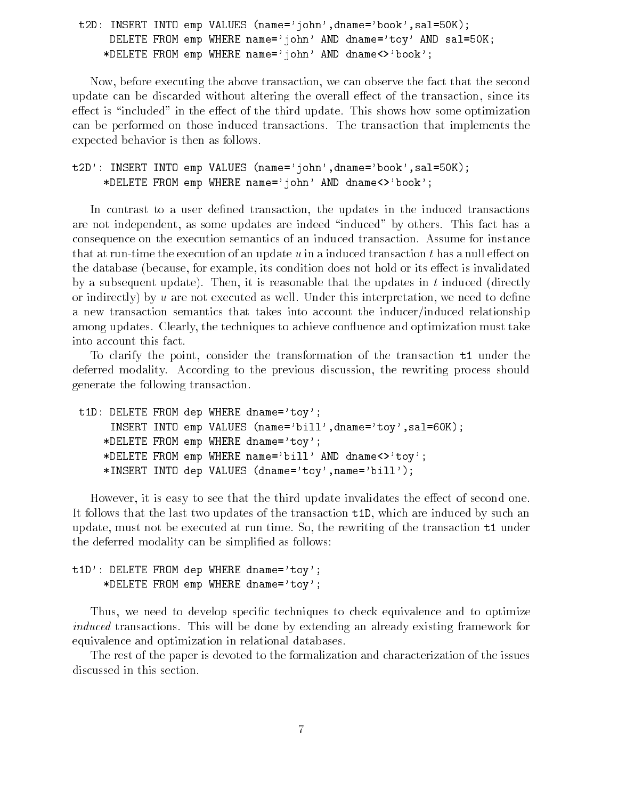to into the compact into the second compact that it is a second that it is a second to the second that it is a DELETE FROM emp WHERE name='john' AND dname='toy' AND sal=50K; \*DELETE FROM emp WHERE name='john' AND dname<>'book';

Now before executing the above transaction we can observe the fact that the second update can be discarded without altering the overall effect of the transaction, since its effect is "included" in the effect of the third update. This shows how some optimization can be performed on those induced transactions The transaction that implements the expected behavior is then as follows

the interest into the contract into the contract interest into the contract into the contract into the contract in \*DELETE FROM emp WHERE name='john' AND dname<>'book';

In contrast to a user defined transaction, the updates in the induced transactions are not independent, as some updates are indeed "induced" by others. This fact has a consequence on the execution semantics of an induced transaction Assume for instance that at run-time the execution of an update  $u$  in a induced transaction  $t$  has a null effect on the database (because, for example, its condition does not hold or its effect is invalidated by a subsequent update). Then, it is reasonable that the updates in  $t$  induced (directly or indirectly) by u are not executed as well. Under this interpretation, we need to define a new transaction semantics that takes into account the inducer/induced relationship among updates. Clearly, the techniques to achieve confluence and optimization must take into account this fact

To clarify the point, consider the transformation of the transaction  $t_1$  under the deferred modality. According to the previous discussion, the rewriting process should generate the following transaction

```
t1D: DELETE FROM dep WHERE dname='toy';
      namebilland into the service of the control of the state of the state of the state of the state of the state o
     *DELETE FROM emp WHERE dname='toy';
     *DELETE FROM emp WHERE name='bill' AND dname<>'toy';
     insert into dep values (depend of ) (alumnamed ) (
```
However, it is easy to see that the third update invalidates the effect of second one. It follows that the last two updates of the transaction  $t1D$ , which are induced by such an update, must not be executed at run time. So, the rewriting of the transaction  $t1$  under the deferred modality can be simplified as follows:

## $t1D$  : DELETE FROM dep WHERE dname='toy'; \*DELETE FROM emp WHERE dname='toy';

Thus, we need to develop specific techniques to check equivalence and to optimize induced transactions. This will be done by extending an already existing framework for equivalence and optimization in relational databases

The rest of the paper is devoted to the formalization and characterization of the issues discussed in this section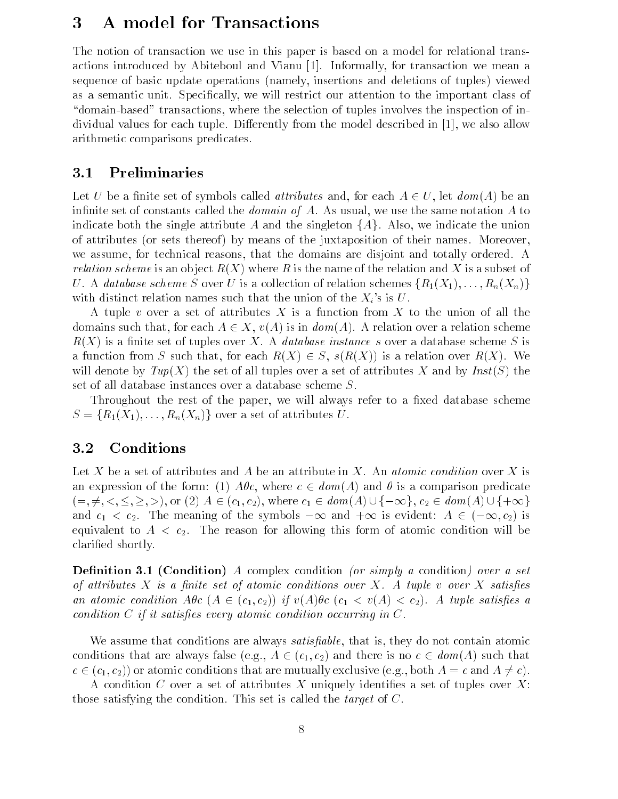# A model for Transactions

The notion of transaction we use in this paper is based on a model for relational trans actions introduced by Abiteboul and Vianu [1]. Informally, for transaction we mean a sequence of basic update operations (namely, insertions and deletions of tuples) viewed as a semantic unit. Specifically, we will restrict our attention to the important class of "domain-based" transactions, where the selection of tuples involves the inspection of individual values for each tuple. Differently from the model described in  $[1]$ , we also allow arithmetic comparisons predicates

#### $3.1$ Preliminaries

Let U be a finite set of symbols called *attributes* and, for each  $A \in U$ , let  $dom(A)$  be an infinite set of constants called the *domain of A*. As usual, we use the same notation A to indicate both the single attribute A and the singleton  $\{A\}$ . Also, we indicate the union of attributes (or sets thereof) by means of the juxtaposition of their names. Moreover, we assume, for technical reasons, that the domains are disjoint and totally ordered. A *relation scheme* is an object  $R(X)$  where R is the name of the relation and X is a subset of U. A database scheme S over U is a collection of relation schemes  $\{R_1(X_1),...,R_n(X_n)\}\$ with distinct relation names such that the union of the  $X_i$ 's is U.

A tuple v over a set of attributes X is a function from X to the union of all the domains such that, for each  $A \in X$ ,  $v(A)$  is in  $dom(A)$ . A relation over a relation scheme  $R(X)$  is a finite set of tuples over X. A *database instance s* over a database scheme S is a function from S such that, for each  $R(X) \in S$ ,  $s(R(X))$  is a relation over  $R(X)$ . We will denote by  $Tup(X)$  the set of all tuples over a set of attributes X and by  $Inst(S)$  the set of all database instances over a database scheme S

Throughout the rest of the paper, we will always refer to a fixed database scheme  $S = \{R_1(X_1), \ldots, R_n(X_n)\}\$ over a set of attributes U.

#### **3.2** Conditions

Let X be a set of attributes and A be an attribute in X. An *atomic condition* over X is an expression of the form: (1)  $A\theta c$ , where  $c \in dom(A)$  and  $\theta$  is a comparison predicate Let X be a set of attributes and A be an attribute in X. An *atomic condition* over X is<br>an expression of the form: (1)  $A\theta c$ , where  $c \in dom(A)$  and  $\theta$  is a comparison predicate<br> $(=, \neq, <, \leq, \geq, >)$ , or (2)  $A \in (c_1, c_2)$ and  $c_1 < c_2$ . The meaning of the symbols  $-\infty$  and  $+\infty$  is evident:  $A \in (-\infty, c_2)$  is equivalent to  $A$  -form of atomic condition for all  $\alpha$  -form of atomic condition will be reason will be reason will be reason for a to  $\alpha$ clarified shortly.

— condition and it conditions a condition of the condition of the condition of the condition of the condition of attributes  $X$  is a finite set of atomic conditions over  $X$ . A tuple v over  $X$  satisfies an atomic condition  $A\theta c$   $(A \in (c_1, c_2))$  if  $v(A)\theta c$   $(c_1 < v(A) < c_2)$ . A tuple satisfies a condition  $C$  if it satisfies every atomic condition occurring in  $C$ .

We assume that conditions are always *satisfiable*, that is, they do not contain atomic conditions that are always false (e.g.,  $A \in (c_1, c_2)$  and there is no  $c \in dom(A)$  such that  $c \in (c_1, c_2)$  or atomic conditions that are mutually exclusive (e.g., both  $A = c$  and  $A \neq c$ ).

A condition C over a set of attributes X uniquely identifies a set of tuples over X: those satisfying the condition. This set is called the *target* of  $C$ .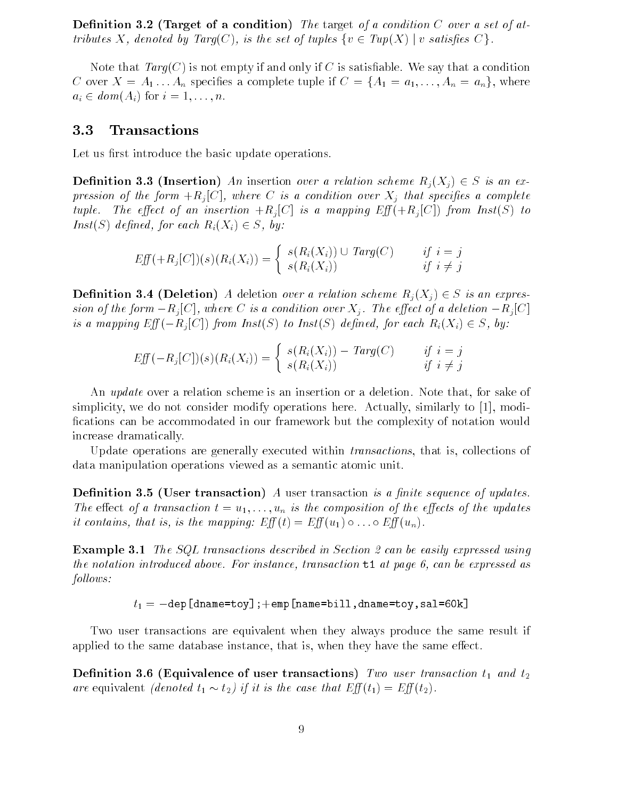Denition Target of a condition The target of a condition C over a set of at tributes X, denoted by  $Targ(C)$ , is the set of tuples  $\{v \in Tup(X) \mid v \text{ satisfies } C\}$ .

Note that  $Targ(C)$  is not empty if and only if C is satisfiable. We say that a condition C over  $X = A_1 \dots A_n$  specifies a complete tuple if  $C = \{A_1 = a_1, \dots, A_n = a_n\}$ , where  $a_i \in dom(A_i)$  for  $i = 1, \ldots, n$ .

#### 3.3 Transactions

Let us first introduce the basic update operations.

**Definition 3.3 (Insertion)** An insertion over a relation scheme  $R_i(X_i) \in S$  is an expression of the form Rj  $\alpha$  is a condition over  $\alpha$  and species a complete a complete a complete a complete a complete a complete a complete a complete a complete a complete a complete a complete a complete a complete a tuple. The effect of an insertion  $+R_i[C]$  is a mapping  $Eff(+R_i[C])$  from  $Inst(S)$  to  $Inst(S)$  defined, for each  $R_i(X_i) \in S$ , by:

$$
Eff(+R_j[C])(s)(R_i(X_i)) = \begin{cases} s(R_i(X_i)) \cup Targ(C) & \text{if } i = j \\ s(R_i(X_i)) & \text{if } i \neq j \end{cases}
$$

**Definition 3.4 (Deletion)** A deletion over a relation scheme  $R_i(X_i) \in S$  is an expression of the form  $-R_i[C]$ , where C is a condition over  $X_i$ . The effect of a deletion  $-R_i[C]$ is a mapping  $Eff(-R_i[C])$  from  $Inst(S)$  to  $Inst(S)$  defined, for each  $R_i(X_i) \in S$ , by:

$$
Eff(-R_j[C])(s)(R_i(X_i)) = \begin{cases} s(R_i(X_i)) - Targ(C) & \text{if } i = j \\ s(R_i(X_i)) & \text{if } i \neq j \end{cases}
$$

An *update* over a relation scheme is an insertion or a deletion. Note that, for sake of simplicity, we do not consider modify operations here. Actually, similarly to  $[1]$ , modifications can be accommodated in our framework but the complexity of notation would increase dramatically

Update operations are generally executed within *transactions*, that is, collections of data manipulation operations viewed as a semantic atomic unit

Denition 
 User transaction A user transaction is a nite sequence of updates The effect of a transaction  $t = u_1, \ldots, u_n$  is the composition of the effects of the updates it contains, that is, is the mapping:  $Eff(t) = Eff(u_1) \circ \dots \circ Eff(u_n)$ .

 $\mathbb{R}$  . The SQL transactions described in Section 2 and  $\mathbb{R}$  . The easily expressed using using  $\mathbb{R}$ the the notation introduced above For international transaction to any page of each expressed as  $follows:$ 

$$
t_1 = -\mathtt{dep[dname=toy]} \, ; +\mathtt{emp[name=bill, dname=toy,sal=60k]}
$$

Two user transactions are equivalent when they always produce the same result if applied to the same database instance, that is, when they have the same effect.

 $\blacksquare$ are equivalent *(denoted*  $t_1 \sim t_2$ ) if it is the case that  $Eff(t_1) = Ef(t_2)$ .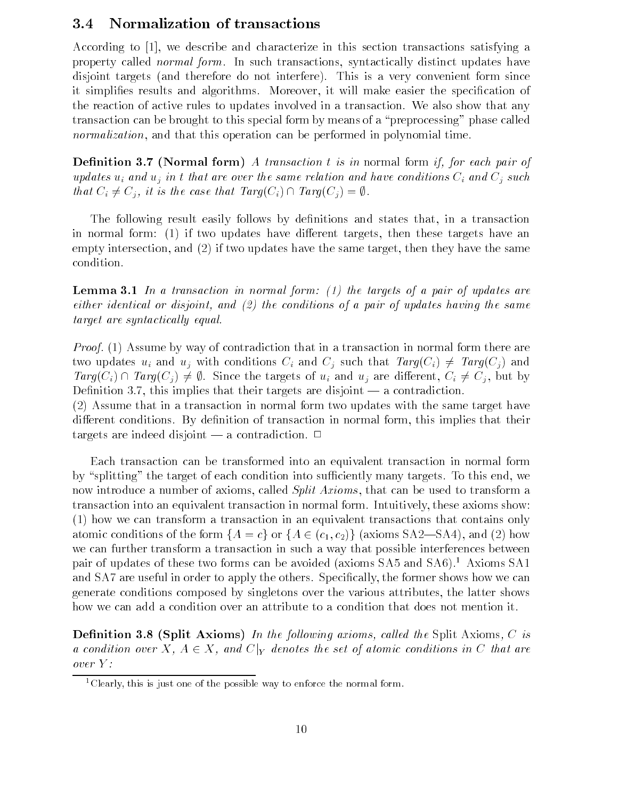#### $3.4$ Normalization of transactions

According to  $[1]$ , we describe and characterize in this section transactions satisfying a property called *normal form*. In such transactions, syntactically distinct updates have disjoint targets (and therefore do not interfere). This is a very convenient form since it simplifies results and algorithms. Moreover, it will make easier the specification of the reaction of active rules to updates involved in a transaction. We also show that any transaction can be brought to this special form by means of a "preprocessing" phase called normalization, and that this operation can be performed in polynomial time.

Denition Normal form A transaction t is in normal form if for each pair of updates  $u_i$  and  $u_j$  in t that are over the same relation and have conditions  $C_i$  and  $C_j$  such that  $C_i \neq C_j$ , it is the case that  $Targ(C_i) \cap Targ(C_j) = \emptyset$ .

The following result easily follows by definitions and states that, in a transaction in normal form: (1) if two updates have different targets, then these targets have an empty intersection, and  $(2)$  if two updates have the same target, then they have the same condition

 $-$  the targets of the targets of the targets of  $\mathbb{R}^n$  ,  $\mathbb{R}^n$  and  $\mathbb{R}^n$  are targets of  $\mathbb{R}^n$  . Then the targets of  $\mathbb{R}^n$ either identical or disjoint and 
 the conditions of a pair of updates having the same target are syntactically equal

*Proof.* (1) Assume by way of contradiction that in a transaction in normal form there are two updates  $u_i$  and  $u_j$  with conditions  $C_i$  and  $C_j$  such that  $Targ(C_i) \neq Targ(C_j)$  and  $Targ(C_i) \cap Targ(C_i) \neq \emptyset$ . Since the targets of  $u_i$  and  $u_j$  are different,  $C_i \neq C_j$ , but by  $\mathbf{1}$ 

 $(2)$  Assume that in a transaction in normal form two updates with the same target have different conditions. By definition of transaction in normal form, this implies that their targets are indeed disjoint  $\overline{a}$  a contradiction.  $\Box$ 

Each transaction can be transformed into an equivalent transaction in normal form by "splitting" the target of each condition into sufficiently many targets. To this end, we now introduce a number of axioms, called *Split Axioms*, that can be used to transform a transaction into an equivalent transaction in normal form. Intuitively, these axioms show:  $h(1)$  how we can transform a transaction in an equivalent transactions that contains only atomic conditions of the form  $\{A = c\}$  or  $\{A \in (c_1, c_2)\}$  (axioms SA2–SA4), and (2) how we can further transform a transaction in such a way that possible interferences between pair of updates of these two forms can be avoided (axioms SA5 and SA6).<sup>1</sup> Axioms SA1 and SA7 are useful in order to apply the others. Specifically, the former shows how we can generate conditions composed by singletons over the various attributes, the latter shows how we can add a condition over an attribute to a condition that does not mention it.

— called a cal led the following and the Split Axioms in the Split Axioms and the Split Axioms in the Split Axioms in the Split Axioms in the Split Axioms in the Split Axioms in the Split Axioms in the Split Axioms in the a condition over X,  $A \in X$ , and  $C|_Y$  denotes the set of atomic conditions in C that are over Y 

<sup>&</sup>lt;sup>1</sup>Clearly, this is just one of the possible way to enforce the normal form.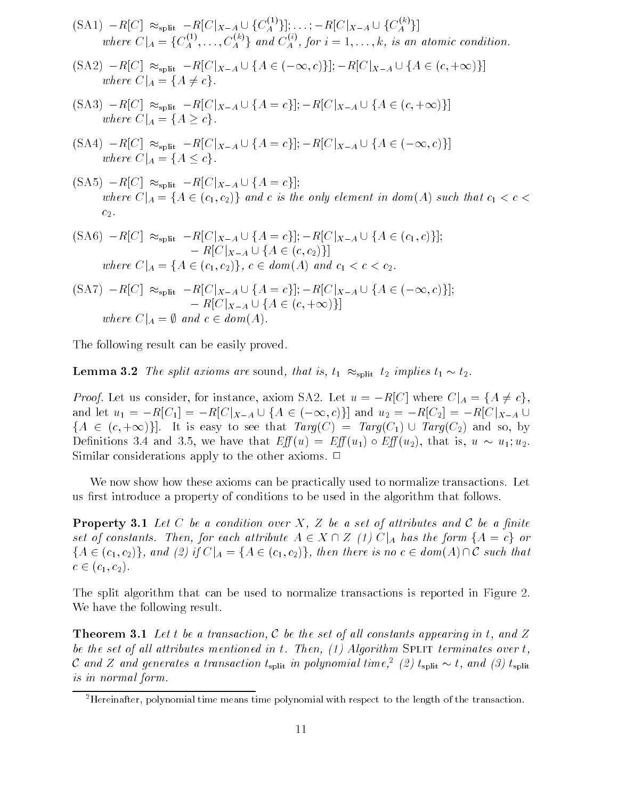$$
\begin{aligned} \text{(SA1)} \quad &-R[C] \approx_{\text{split}} -R[C|_{X-A} \cup \{C_A^{(1)}\}]; \dots; -R[C|_{X-A} \cup \{C_A^{(k)}\}] \\ \text{where } C|_A = \{C_A^{(1)}, \dots, C_A^{(k)}\} \text{ and } C_A^{(i)}, \text{ for } i = 1, \dots, k, \text{ is an atomic condition.} \\ \text{(SA2)} \quad &-R[C] \approx_{\text{split}} -R[C|_{X-A} \cup \{A \in (-\infty, c)\}]; -R[C|_{X-A} \cup \{A \in (c, +\infty)\}] \end{aligned}
$$

$$
\begin{aligned} \text{(SA2)} \quad &-R[C] \quad \approx_{\text{split}} -R[C|_{X-A} \cup \{A \in (-\infty, c)\}]; -R[C|_{X-A} \cup \{A \in (c, +\infty)\}] \\ &\text{where } C|_{A} = \{A \neq c\}. \end{aligned}
$$
\n
$$
\begin{aligned} \text{(SA3)} \quad &-R[C] \quad \approx_{\text{split}} -R[C|_{X-A} \cup \{A = c\}]; -R[C|_{X-A} \cup \{A \in (c, +\infty)\}] \end{aligned}
$$

$$
\begin{aligned} \text{(SA3)} \ -R[C] &\approx_{\text{split}} -R[C|_{X-A} \cup \{A=c\}]; -R[C|_{X-A} \cup \{A\in (c, +\infty)\}] \\ \text{where } C|_{A} &= \{A \ge c\}. \end{aligned}
$$
\n
$$
\begin{aligned} \text{(SA4)} \ -R[C] &\approx_{\text{split}} -R[C|_{X-A} \cup \{A=c\}]; -R[C|_{X-A} \cup \{A\in (-\infty, c)\}] \end{aligned}
$$

$$
\begin{aligned} \text{(SA4)} \ -R[C] &\approx_{\text{split}} -R[C|_{X-A} \cup \{A=c\}]; -R[C|_{X-A} \cup \{A\in (-\infty, c)\}] \\ \text{where } C|_{A} &= \{A \le c\}. \end{aligned}
$$
\n
$$
\begin{aligned} \text{(SA5)} \ -R[C] &\approx_{\text{split}} -R[C|_{X-A} \cup \{A=c\}]; \end{aligned}
$$

$$
\begin{aligned} \text{(SA5)} \ -R[C] &\approx_{\text{split}} -R[C|_{X-A} \cup \{A=c\}];\\ \text{where } C|_{A} &= \{A \in (c_1, c_2)\} \text{ and } c \text{ is the only element in } \text{dom}(A) \text{ such that } c_1 < c < c_2. \end{aligned}
$$
\n
$$
\begin{aligned} \text{(SA6)} \ -R[C] \ \approx_{\text{split}} -R[C|_{X-A} \cup \{A=c\}];\\ \ -R[C|_{X-A} \cup \{A \in (c_1, c)\}]; \end{aligned}
$$

$$
(SA6) - R[C] \approx_{split} -R[C|_{X-A} \cup \{A = c\}]; -R[C|_{X-A} \cup \{A \in (c_1, c)\}];
$$
  
\n
$$
-R[C|_{X-A} \cup \{A \in (c, c_2)\}]
$$
  
\nwhere  $C|_A = \{A \in (c_1, c_2)\}, c \in dom(A)$  and  $c_1 < c < c_2$ .  
\n
$$
(SA7) - R[C] \approx_{split} -R[C|_{X-A} \cup \{A = c\}]; -R[C|_{X-A} \cup \{A \in (-\infty, c)\}];
$$

$$
\begin{aligned} \text{(SA7)} \quad &- R[C] \approx_{\text{split}} -R[C|_{X-A} \cup \{A=c\}]; -R[C|_{X-A} \cup \{A \in (-\infty, c)\}];\\ &- R[C|_{X-A} \cup \{A \in (c, +\infty)\}]\\ \text{where } C|_{A} = \emptyset \text{ and } c \in \text{dom}(A). \end{aligned}
$$

The following result can be easily proved

**Lemma 3.2** The split axioms are sound, that is,  $t_1 \approx_{\text{split}} t_2$  implies  $t_1 \sim t_2$ .

*Proof.* Let us consider, for instance, axiom SA2. Let  $u = -R[C]$  where  $C|_A = \{A \neq c\},\$ and let  $u_1 = -R[C_1] = -R[C|_{X-A} \cup \{A \in (-\infty, c)\}]$  and  $u_2 = -R[C_2] = -R[C|_{X-A} \cup$  $f$ : e, axiom SA2. Let  $u = -R$ <br>  $A \cup \{A \in (-\infty, c)\}\$  and  $u_2$  ${A \in (c, +\infty)}$ . It is easy to see that  $Targ(C) = Targ(C_1) \cup Targ(C_2)$  and so, by Definitions 3.4 and 3.5, we have that  $Eff(u) = Eff(u_1) \circ Eff(u_2)$ , that is,  $u \sim u_1, u_2$ . Similar considerations apply to the other axioms.  $\Box$ 

We now show how these axioms can be practically used to normalize transactions. Let us first introduce a property of conditions to be used in the algorithm that follows.

**Property 3.1** Let C be a condition over X, Z be a set of attributes and C be a finite **Property 3.1** Let C be a condition over X, Z be a set of attributes and C be a finite set of constants. Then, for each attribute  $A \in X \cap Z$  (1)  $C|_A$  has the form  $\{A = c\}$  or  ${A \in (c_1, c_2)}$ , and (2) if  $C|_A = {A \in (c_1, c_2)}$ , then there is no  $c \in dom(A) \cap C$  such that  $c \in (c_1, c_2)$ .

The split algorithm that can be used to normalize transactions is reported in Figure 2. We have the following result.

**Theorem 3.1** Let t be a transaction, C be the set of all constants appearing in t, and Z of the set of all allements mentioned in the Thenet (T) twisting we men the internates over the and Z and generates a transaction  $t_{\text{split}}$  in polynomial time,<sup>2</sup> (2)  $t_{\text{split}} \sim t$ , and (3)  $t_{\text{split}}$ is in normal form

<sup>-</sup>Hereinafter polynomial time means time polynomial with respect to the length of the transaction-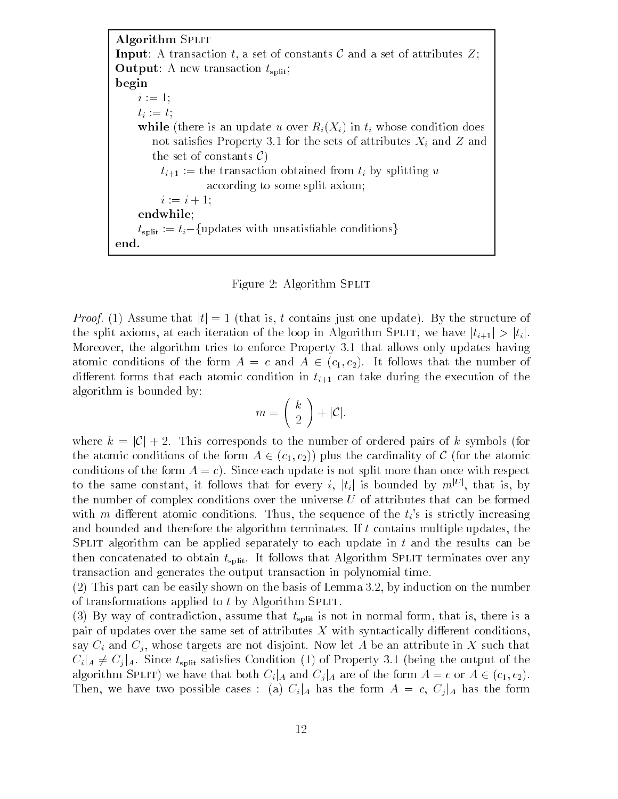Algorithm SPLIT **Input:** A transaction t, a set of constants C and a set of attributes  $Z$ ; **Output:** A new transaction  $t_{split}$ ; begin  $i := 1$ ;  $t_i := t;$ while (there is an update u over  $R_i(X_i)$  in  $t_i$  whose condition does not satisfaction in the sets of attributes  $\mathcal{C}$  and Z and Z and Z and Z and Z and Z and Z and Z and Z and Z the set of constants  $\mathcal{C}$ )  $t_{i+1}$  := the transaction obtained from  $t_i$  by splitting u according to some split axiom  $i := i + 1;$ endwhile  $t_{split} := t_i - {\text{updates with unsatisfiable conditions}}$ end 

Figure 2: Algorithm SPLIT

*Proof.* (1) Assume that  $|t| = 1$  (that is, t contains just one update). By the structure of the split axioms, at each iteration of the loop in Algorithm SPLIT, we have  $|t_{i+1}| > |t_i|$ . more that the algorithm tries to enforce Property all that allows only updates having the atomic conditions of the form  $A = c$  and  $A \in (c_1, c_2)$ . It follows that the number of algorithm is bounded by:<br>  $m = \begin{pmatrix} k \\ 2 \end{pmatrix} + |\mathcal{C}|.$ algorithm is bounded by

$$
m = \left(\begin{array}{c} k \\ 2 \end{array}\right) + |\mathcal{C}|.
$$

where  $k = |\mathcal{C}| + 2$ . This corresponds to the number of ordered pairs of k symbols (for the atomic conditions of the form  $A \in (c_1, c_2)$  plus the cardinality of C (for the atomic conditions of the form  $A = c$ ). Since each update is not split more than once with respect to the same constant, it follows that for every i,  $|t_i|$  is bounded by  $m^{|U|}$ , that is, by the number of complex conditions over the universe  $U$  of attributes that can be formed with m different atomic conditions. Thus, the sequence of the  $t_i$ 's is strictly increasing and bounded and therefore the algorithm terminates. If  $t$  contains multiple updates, the SPLIT algorithm can be applied separately to each update in  $t$  and the results can be then concatenated to obtain  $t_{split}$ . It follows that Algorithm SPLIT terminates over any transaction and generates the output transaction in polynomial time

, a shown part can be easily shown on the basis of Lemma , we have no the shown on the number of of transformations applied to  $t$  by Algorithm SPLIT.

 $\mathcal{N} = \mathcal{N}$  of contradiction assume that the inner is not in normal form that is not in normal form that is a sum that is the is the is the is the is the is the is the is the is normal form that is the is the is a sum pair of updates over the same set of attributes  $X$  with syntactically different conditions, say  $C_i$  and  $C_j$ , whose targets are not disjoint. Now let A be an attribute in X such that  $C_i|_A \neq C_i|_A$ . Since  $t_{\text{split}}$  satisfies Condition (1) of Property 3.1 (being the output of the algorithm SPLIT) we have that both  $C_i|_A$  and  $C_i|_A$  are of the form  $A = c$  or  $A \in (c_1, c_2)$ . Then, we have two possible cases : (a)  $C_i|_A$  has the form  $A = c$ ,  $C_j|_A$  has the form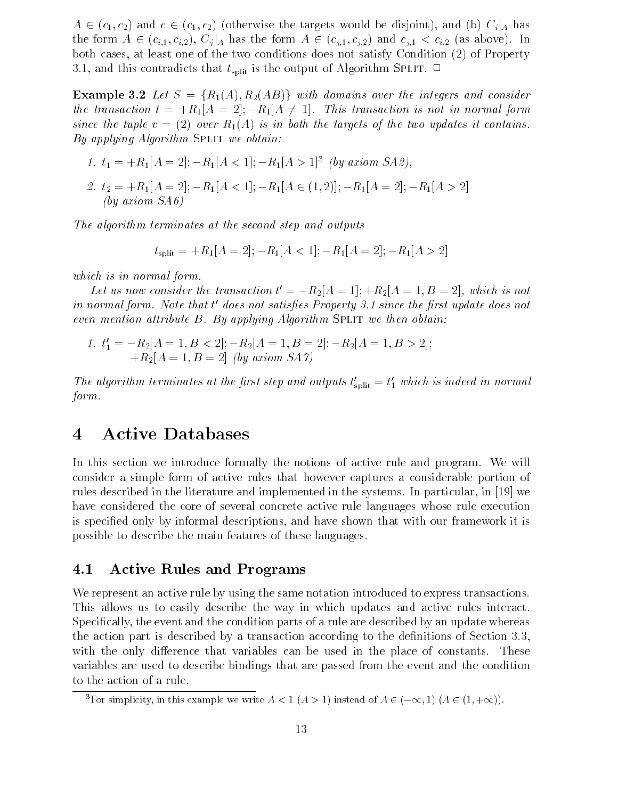$A \in (c_1, c_2)$  and  $c \in (c_1, c_2)$  (otherwise the targets would be disjoint), and (b)  $C_i|_A$  has the form  $A \in (c_{i,1}, c_{i,2}), C_i|_A$  has the form  $A \in (c_{i,1}, c_{i,2})$  and  $c_{i,1} < c_{i,2}$  (as above). In both cases, at least one of the two conditions does not satisfy Condition  $(2)$  of Property and the contradicts that the contradicts the output of Algorithm Splitting  $\sim$ 

**Example 3.2** Let  $S = \{R_1(A), R_2(AB)\}\$  with domains over the integers and consider the transaction  $t = +R_1[A = 2], -R_1[A \neq 1].$  This transaction is not in normal form since the tuple  $v = (2)$  over  $R_1(A)$  is in both the targets of the two updates it contains. By applying Algorithm SPLIT we obtain:

\n- 1. 
$$
t_1 = +R_1[A = 2]; -R_1[A < 1]; -R_1[A > 1]^3
$$
 (by axiom SA2),
\n- 2.  $t_2 = +R_1[A = 2]; -R_1[A < 1]; -R_1[A \in (1, 2)]; -R_1[A = 2]; -R_1[A > 2]$  (by axiom SA6)
\n

The algorithm terminates at the second step and outputs

 $t_{\text{split}} = +R_1[A = 2]; -R_1[A < 1]; -R_1[A = 2]; -R_1[A > 2]$ 

which is in normal form

Let us now consider the transaction  $t' = -R_2[A = 1]; +R_2[A = 1, B = 2]$ , which is not in normal form. Note that t-aoes not satisfies Property 5.1 since the first update aoes not even mention attribute  $B$ . By applying Algorithm SPLIT we then obtain:

1. 
$$
t'_1 = -R_2[A = 1, B < 2]; -R_2[A = 1, B = 2]; -R_2[A = 1, B > 2];
$$
  
+ $R_2[A = 1, B = 2]$  (by axiom SA 7)

The algorithm terminates at the first step and outputs  $t_{\text{split}} = t_1$  which is indeed in normal form.

#### Active Databases  $\overline{4}$

In this section we introduce formally the notions of active rule and program. We will consider a simple form of active rules that however captures a considerable portion of rules described in the literature and implemented in the systems. In particular, in  $[19]$  we have considered the core of several concrete active rule languages whose rule execution is specified only by informal descriptions, and have shown that with our framework it is possible to describe the main features of these languages

#### 4.1 Active Rules and Programs

We represent an active rule by using the same notation introduced to express transactions. This allows us to easily describe the way in which updates and active rules interact Specifically, the event and the condition parts of a rule are described by an update whereas the action part is described by a transaction according to the density of Section according to the density of Section with the only difference that variables can be used in the place of constants. These variables are used to describe bindings that are passed from the event and the condition to the action of a rule

For simplicity, in this example we write  $A \leq 1$  ( $A \geq 1$ ) instead of  $A \in (-\infty, 1)$  ( $A \in (1, +\infty)$ ).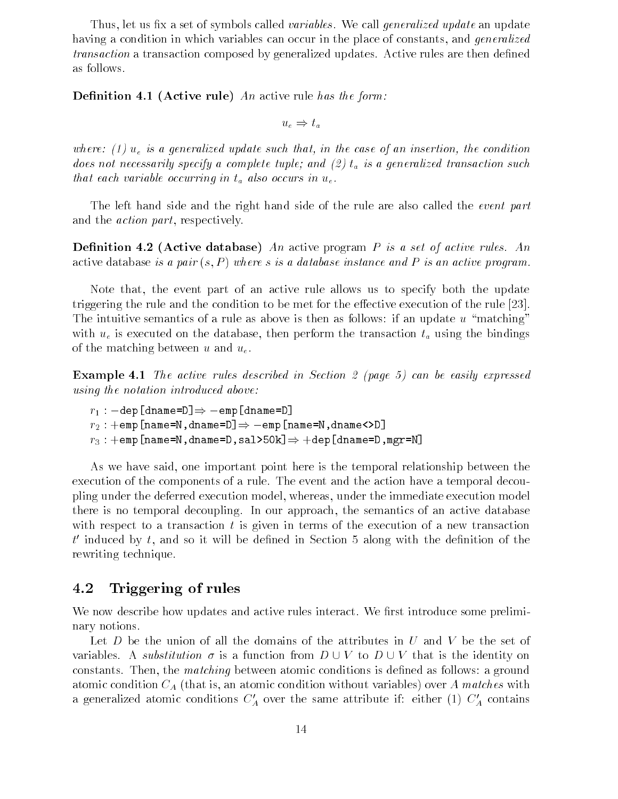Thus, let us fix a set of symbols called *variables*. We call *generalized update* an update having a condition in which variables can occur in the place of constants, and *generalized* transaction a transaction composed by generalized updates. Active rules are then defined as follows

— included an active rule of the form and the form of the form of the form of the form of the form of the form

 $u_e \Rightarrow t_a$ 

where the conditions is a general interest where the case of an insertion of an insertion of an insertion of a does not necessarily specify a complete tuple; and  $(2)$   $t_a$  is a generalized transaction such that each variable occurring in  $t_a$  also occurs in  $u_e$ .

The left hand side and the right hand side of the rule are also called the *event part* and the *action part*, respectively.

 $\mathcal{A}$  active database An active program P is a set of active rules An active rules An active rules An active rules An active rules An active rules An active rules An active rules An active rules An active rules An acti active database is a pair  $(s, P)$  where s is a database instance and P is an active program.

Note that, the event part of an active rule allows us to specify both the update triggering the rule and the condition to be met for the execution to be met for the execution of the rule  $\ell$ The intuitive semantics of a rule as above is then as follows: if an update  $u$  "matching" with  $u_{\varepsilon}$  is executed on the database, then perform the transaction  $t_a$  using the bindings of the matching between u and  $u_e$ .

Example  - The active rules described in Section 
 page can be easily expressed using the notation introduced above

 $r_1: -{\tt dep[dname=D]} \Rightarrow -{\tt emp[dname=D]}$  $\begin{split} & \mathit{if~invariant}~unrouce~above. \ & \mathit{if~i}~\mathit{if~i}~\mathit{if~i}~\mathit{if~i}~\mathit{if~i}~\mathit{if~i}~\mathit{if~i}~\mathit{if~i}~\mathit{if~i}~\mathit{if~i}~\mathit{if~i}~\mathit{if~i}~\mathit{if~i}~\mathit{if~i}~\mathit{if~i}~\mathit{if~i}~\mathit{if~i}~\mathit{if~i}~\mathit{if~i}~\mathit{if~i}~\mathit{if~i}~\mathit{if~i$  $r_3: +$ emp[name=N,dname=D,sal>50k] $\Rightarrow +$ dep[dname=D,mgr=N]

As we have said one important point here is the temporal relationship between the execution of the components of a rule. The event and the action have a temporal decoupling under the deferred execution model whereas under the immediate execution model there is no temporal decoupling. In our approach, the semantics of an active database with respect to a transaction  $t$  is given in terms of the execution of a new transaction  $t$  induced by  $t$ , and so it will be defined in Section 5 along with the definition of the  $\pm$ rewriting technique

#### Triggering of rules  $4.2$

We now describe how updates and active rules interact. We first introduce some preliminary notions

Let  $D$  be the union of all the domains of the attributes in  $U$  and  $V$  be the set of variables. A *substitution*  $\sigma$  is a function from  $D \cup V$  to  $D \cup V$  that is the identity on constants. Then, the *matching* between atomic conditions is defined as follows: a ground atomic condition  $C_A$  (that is, an atomic condition without variables) over A matches with a generalized atomic conditions  $C_A$  over the same attribute if: either (1)  $C_A$  contains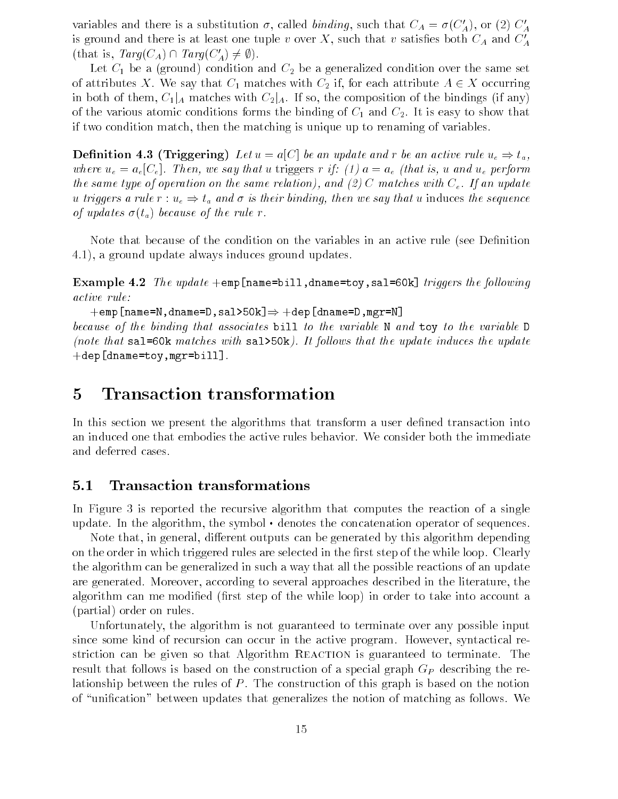variables and there is a substitution  $\sigma$ , called *binding*, such that  $C_A = \sigma(C'_A)$ , or (2)  $C'_A$ is ground and there is at least one tuple v over X, such that v satisfies both  $C_A$  and  $C'_A$ (that is,  $Targ(C_A) \cap Targ(C'_A) \neq \emptyset$ ).

 $\begin{array}{cccc} \texttt{L} & \texttt{L} & \texttt{L} & \texttt{L} & \texttt{L} & \texttt{L} & \texttt{L} & \texttt{L} & \texttt{L} & \texttt{L} & \texttt{L} & \texttt{L} & \texttt{L} & \texttt{L} & \texttt{L} & \texttt{L} & \texttt{L} & \texttt{L} & \texttt{L} & \texttt{L} & \texttt{L} & \texttt{L} & \texttt{L} & \texttt{L} & \texttt{L} & \texttt{L} & \texttt{L} & \texttt{L} & \texttt{L} & \texttt{L} & \texttt$ of attributes X. We say that  $C_1$  matches with  $C_2$  if, for each attribute  $A \in X$  occurring in both of them,  $C_1|_A$  matches with  $C_2|_A$ . If so, the composition of the bindings (if any) of the various atomic conditions forms the binding of C  $_{\rm I}$  individually the binding theory that if two condition match, then the matching is unique up to renaming of variables.

**Definition 4.3 (Triggering)** Let  $u = a[C]$  be an update and r be an active rule  $u_e \Rightarrow t_a$ , we say the use  $\mathcal{U}$  and use the use  $\mathcal{U}$  is a constant in the indicate in the indicate of  $\mathcal{U}$ the same type of operation on the same relationship of our contraction on the same relationship of the same of u triggers a rule  $r : u_e \Rightarrow t_a$  and  $\sigma$  is their binding, then we say that u induces the sequence of updates  $\sigma(t_a)$  because of the rule r.

Note that because of the condition on the variables in an active rule (see Definition 4.1), a ground update always induces ground updates.

**Example 4.2** The update  $+\text{emp}$  [name=bill, dname=toy, sal=60k] triggers the following active rule

 $+$ emp[name=N,dname=D,sal>50k] $\Rightarrow$   $+$ dep[dname=D,mgr=N]

because of the binding that associates bill to the variable N and toy to the variable D (note that sal=60k matches with sal>50k). It follows that the update induces the update  $\text{+dep[dname=toy,mgr=bill]}$ .

#### **Transaction transformation**  $\overline{5}$

In this section we present the algorithms that transform a user defined transaction into an induced one that embodies the active rules behavior We consider both the immediate and deferred cases

#### $5.1$ Transaction transformations

In Figure is reported the recursive algorithm that computes the reaction of a single update. In the algorithm, the symbol  $\cdot$  denotes the concatenation operator of sequences.

Note that, in general, different outputs can be generated by this algorithm depending on the order in which triggered rules are selected in the first step of the while loop. Clearly the algorithm can be generalized in such a way that all the possible reactions of an update are generated. Moreover, according to several approaches described in the literature, the algorithm can me modified (first step of the while loop) in order to take into account a (partial) order on rules.

Unfortunately the algorithm is not guaranteed to terminate over any possible input since some kind of recursion can occur in the active program. However, syntactical restriction can be given so that Algorithm REACTION is guaranteed to terminate. The result that follows is based on the construction of a special graph  $G_P$  describing the relationship between the rules of  $P$ . The construction of this graph is based on the notion of "unification" between updates that generalizes the notion of matching as follows. We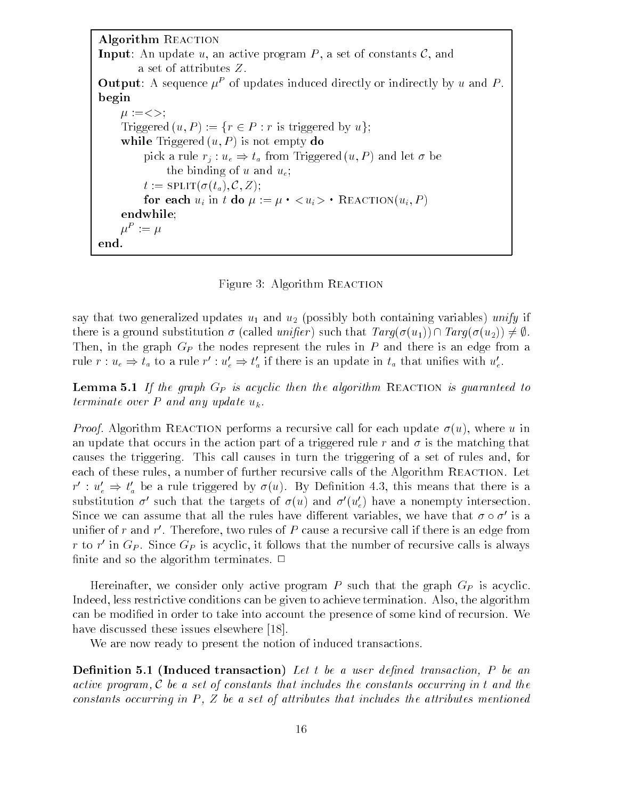```
Algorithm REACTION
Input: An update u, an active program P, a set of constants \mathcal{C}, and
        a set of attributes Z Output: A sequence \mu of updates induced directly or indirectly by u and P.
begin
     -

     Triggered (u, P) := \{r \in P : r \text{ is triggered by } u\};while Triggered (u, P) is not empty do
          pick a rule r_i : u_e \Rightarrow t_a from Triggered (u, P) and let \sigma be
              the binding of u and u_e;
         t := \text{SPLIT}(\sigma(t_a), \mathcal{C}, Z);for each u_i in \iota ao \mu := \mu \cdot \langle u_i \rangle reaction(u_i, I)
     endwhile
     \mu^- := \muend
```
Figure Algorithm Reaction

say that two generalized updates u and u- possibly both containing variables unify if there is a ground substitution  $\sigma$  (called *unifier*) such that  $Targ(\sigma(u_1)) \cap Targ(\sigma(u_2)) \neq \emptyset$ . Then, in the graph  $G_P$  the nodes represent the rules in  $P$  and there is an edge from a rule  $r: u_e \Rightarrow t_a$  to a rule  $r': u'_e \Rightarrow t'_a$  if there is an update in  $t_a$  that unifies with  $u'_e$ .

— the graph  $\tau$  is according  $\tau$  is a complete the algorithm  $\tau$  and  $\tau$  and  $\tau$  and  $\tau$  is guaranteed to terminate over P and any update  $u_k$ .

*Proof.* Algorithm REACTION performs a recursive call for each update  $\sigma(u)$ , where u in an update that occurs in the action part of a triggered rule r and  $\sigma$  is the matching that causes the triggering. This call causes in turn the triggering of a set of rules and, for each of these rules, a number of further recursive calls of the Algorithm REACTION. Let  $r': u'_e \Rightarrow t'_a$  be a rule triggered by  $\sigma(u)$ . By Definition 4.3, this means that there is a substitution  $\sigma'$  such that the targets of  $\sigma(u)$  and  $\sigma'(u'_e)$  have a nonempty intersection. Since we can assume that all the rules have different variables, we have that  $\sigma \circ \sigma'$  is a unifier of  $r$  and  $r$  . Therefore, two rules of  $P$  cause a recursive call if there is an edge from  $r$  to  $r$  -in Gp. Since Gp is acyclic, it follows that the number of recursive calls is always finite and so the algorithm terminates.  $\Box$ 

Hereinafter, we consider only active program  $P$  such that the graph  $G_P$  is acyclic. Indeed, less restrictive conditions can be given to achieve termination. Also, the algorithm can be modified in order to take into account the presence of some kind of recursion. We have discussed these issues elsewhere -

We are now ready to present the notion of induced transactions.

Denition 
 - Induced transaction Let t be a user dened transaction P be an active program <sup>C</sup> be a set of constants that includes the constants occurring in t and the constants occurring in P  $Z$  be a set of attributes that includes that includes the attributes mentioned the attributes mentioned in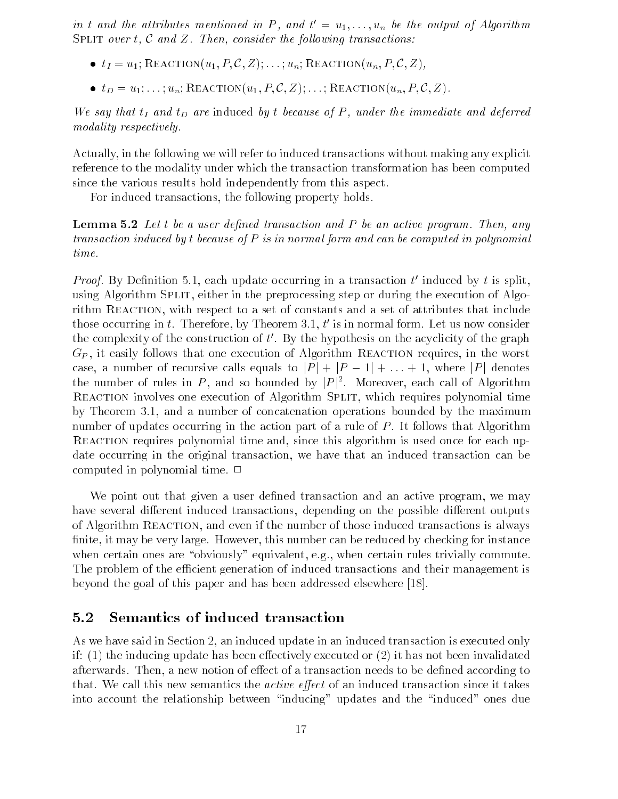in t and the attributes mentioned in P, and  $\iota = u_1, \ldots, u_n$  be the output of Algorithm SPLIT over t, C and Z. Then, consider the following transactions:

- $t_1 = u_1$ ; REACTION $(\overline{u}_1, P, C, Z)$ ; ...;  $u_n$ ; REACTION $(u_n, P, C, Z)$ ,
- $t_D = u_1; \ldots; u_n;$  REACTION $(u_1, P, C, Z); \ldots;$  REACTION $(u_n, P, C, Z)$ .

we say that tI and tI are induced by t because of P  $_{\rm 1}$  and deferred the immediate and deferred modality respectively.

Actually in the following we will refer to induced transactions without making any explicit reference to the modality under which the transaction transformation has been computed since the various results hold independently from this aspect.

For induced transactions, the following property holds.

Lemma 
 Let t be a user dened transaction and P be an active program Then any transaction induced by t because of  $P$  is in normal form and can be computed in polynomial time.

*Proof*. By Definition 5.1, each update occurring in a transaction t induced by t is split, using Algorithm SPLIT, either in the preprocessing step or during the execution of Algorithm REACTION, with respect to a set of constants and a set of attributes that include those occurring in  $t$  . I nerefore, by Theorem 5.1,  $t$  is in normal form. Let us now consider the complexity of the construction of  $\iota$  . By the hypothesis on the acyclicity of the graph  $G_P$ , it easily follows that one execution of Algorithm REACTION requires, in the worst case, a number of recursive calls equals to  $|P| + |P - 1| + ... + 1$ , where  $|P|$  denotes the number of rules in P, and so bounded by  $|P|^2$ . Moreover, each call of Algorithm REACTION involves one execution of Algorithm SPLIT, which requires polynomial time by Theorem and a number of concatenation operations bounded by the maximum number of updates occurring in the action part of a rule of  $P$ . It follows that Algorithm REACTION requires polynomial time and, since this algorithm is used once for each update occurring in the original transaction we have that an induced transaction can be computed in polynomial time.  $\Box$ 

We point out that given a user defined transaction and an active program, we may have several different induced transactions, depending on the possible different outputs of Algorithm Reaction and even if the number of those induced transactions is always finite, it may be very large. However, this number can be reduced by checking for instance when certain ones are "obviously" equivalent, e.g., when certain rules trivially commute. The problem of the efficient generation of induced transactions and their management is beyond the goal of this paper and has been addressed elsewhere -

#### Semantics of induced transaction  $5.2$

As we have said in Section 2, an induced update in an induced transaction is executed only if: (1) the inducing update has been effectively executed or (2) it has not been invalidated afterwards. Then, a new notion of effect of a transaction needs to be defined according to that. We call this new semantics the *active effect* of an induced transaction since it takes into account the relationship between "inducing" updates and the "induced" ones due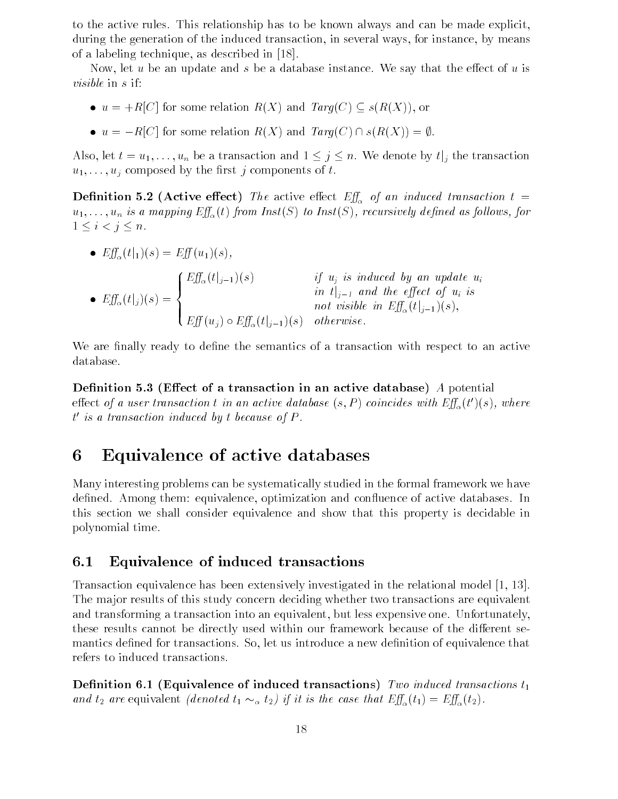to the active rules. This relationship has to be known always and can be made explicit, during the generation of the induced transaction, in several ways, for instance, by means of a labeling technique as described in  $\mathcal{A}$  and  $\mathcal{A}$  as described in  $\mathcal{A}$  and  $\mathcal{A}$ 

Now, let u be an update and s be a database instance. We say that the effect of u is visible in s if

- $u = +R[C]$  for some relation  $R(X)$  and  $Targ(C) \subseteq s(R(X))$ , or
- $u = -R[C]$  for some relation  $R(X)$  and  $Targ(C) \cap s(R(X)) = \emptyset$ .

Also, let  $t = u_1, \ldots, u_n$  be a transaction and  $1 \leq j \leq n$ . We denote by  $t|_j$  the transaction  $u_1, \ldots, u_j$  composed by the first j components of t.

 $\mathcal{L}$  -contractive extension that active extends  $\mathcal{L}_{\mathcal{M}}$  and the active extension transaction to the active extension that  $\mathcal{L}_{\mathcal{M}}$  $\mathbf{f}$  from Instruction  $\mathbf{f}$  from  $\mathbf{f}$  as follows:  $\mathbf{f}$  as follows:  $\mathbf{f}$  as follows:  $\mathbf{f}$  as follows:  $\mathbf{f}$  as follows:  $\mathbf{f}$  as follows:  $\mathbf{f}$  as follows:  $\mathbf{f}$  as follows:  $\mathbf{f}$  as f  $1\leq i< j\leq n$ .

- $Eff_{\alpha}(t|_1)(s) = Eff(u_1)(s),$   $\overline{\phantom{a}}$ E-tjj-s if uj is induced by an update ui in t jj - and the eect of ui is
	- $E[f_\alpha(t|_j)(s) = \{$  $\frac{1}{\sqrt{2}}$ not visible in  $Eff_{\alpha}(t|_{j-1})(s)$ ,<br>  $Eff(u_j) \circ Eff_{\alpha}(t|_{j-1})(s)$  otherwise.

We are finally ready to define the semantics of a transaction with respect to an active database

— cectarion is present in a constanting an active and an active a potential enect of a user transaction t in an active aatabase  $(s, P)$  coincides with  $E_J\!\!{\vphantom {F}}_{\alpha}(t\;)(s),$  where t is a transaction induced by t because of P

# Equivalence of active databases

Many interesting problems can be systematically studied in the formal framework we have defined. Among them: equivalence, optimization and confluence of active databases. In this section we shall consider equivalence and show that this property is decidable in polynomial time

#### $6.1$ Equivalence of induced transactions

Transaction equivalence has been extensively investigated in the relational model The major results of this study concern deciding whether two transactions are equivalent and transforming a transaction into an equivalent, but less expensive one. Unfortunately, these results cannot be directly used within our framework because of the different semantics defined for transactions. So, let us introduce a new definition of equivalence that refers to induced transactions

denition of induced transaction of induced transactions transactions transactions that is a construction of the and  $t_2$  are equivalent (denoted  $t_1 \sim_\alpha t_2$ ) if it is the case that  $Eff_\alpha(t_1) = Eff_\alpha(t_2)$ .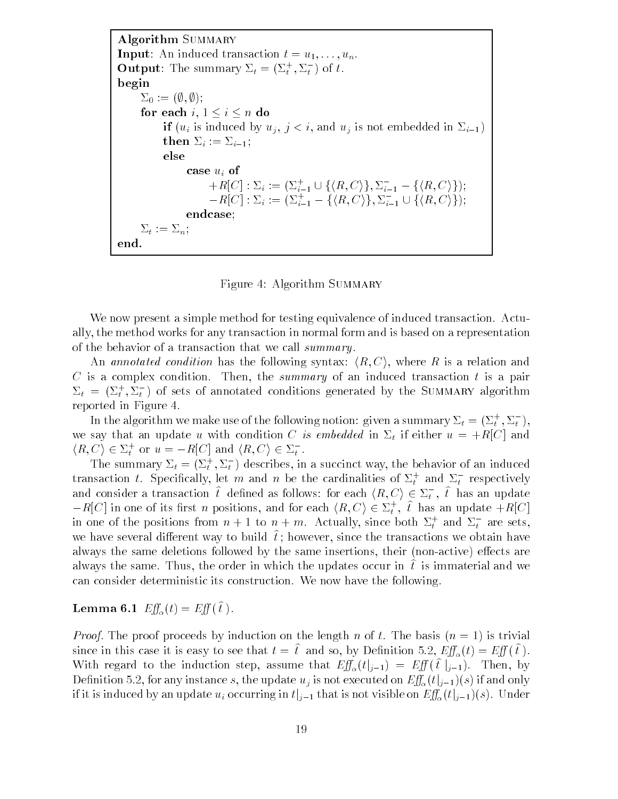Algorithm SUMMARY **Input:** An induced transaction  $t = u_1, \ldots, u_n$ . **Output:** The summary  $\Delta_t = (\Delta_t, \Delta_t)$  of t. begin  $\Sigma_0 := (\emptyset, \emptyset);$ for each  $i, 1 \leq i \leq n$  do if uit is induced by up in the upper states in the state  $\sim$   $\sim$   $\sim$ then  $\iota$  if  $\iota$  if  $\iota$  if  $\iota$  if  $\iota$ else case  $u_i$  of :  $u_i$  of<br>  $+R[C]$  :  $\Sigma_i := (\Sigma_{i=1}^+ \cup \{\langle R, C \rangle\}, \Sigma_{i=1}^- - \{\langle R, C \rangle\});$  $-R[C]:\Sigma_i := (\Sigma_{i=1}^+ - \{\langle R,C\rangle\},\Sigma_{i=1}^- \cup$ i- $\{ \langle R, C \rangle \}, \Sigma_{i=1}^- - \{ \langle R, C \rangle \};$ <br>  $\{ \langle R, C \rangle \}, \Sigma_{i=1}^- \cup \{ \langle R, C \rangle \};$ iendcase  $\Sigma_t := \Sigma_n;$ end 

Figure 4: Algorithm SUMMARY

We now present a simple method for testing equivalence of induced transaction. Actually the method works for any transaction in normal form and is based on a representation of the behavior of a transaction that we call summary.

An annotated condition has the following syntax:  $\langle R, C \rangle$ , where R is a relation and C is a complex condition. Then, the summary of an induced transaction t is a pair  $\Delta_t = (\Delta_t^+, \Delta_t^-)$  of sets of annotated conditions generated by the SUMMARY algorithm reported in Figure

In the algorithm we make use of the following notion: given a summary  $\Sigma_t = (\Sigma_t^+, \Sigma_t^-),$ we say that it and an update using the statements with  $\omega$  is embedded in the  $\omega$  and  $\omega$  and  $\omega$  and  $\omega$ In the algorithm we make use of the followi<br>we say that an update u with condition C is<br> $\langle R, C \rangle \in \Sigma_t^+$  or  $u = -R[C]$  and  $\langle R, C \rangle \in \Sigma_t^-$ .  $\langle R, C \rangle \in \Sigma_t^+$  or  $u = -R[C]$  and  $\langle R, C \rangle \in \Sigma_t^-$ .

The summary  $\Delta_t = (\Delta_t^T, \Delta_t^-)$  describes, in a succinct way, the behavior of an induced transaction t. Specifically, let  $m$  and  $n$  be the cardinalities of  $\varDelta_t$  and  $\varDelta_t$  respectively and consider a transaction  $t$  defined as follows: for each  $\langle R, U\rangle \in \varDelta_t$  ,  $t$  has an update  $(\Sigma_t)$  describes, in a succinct way, the behave<br>let m and n be the cardinalities of  $\Sigma_t^+$  and<br> $\hat{t}$  defined as follows: for each  $\langle R, C \rangle \in \Sigma_t^-$ , transaction t. Specifically, let m and n be the cardinalities of  $\Sigma_t^+$  and  $\Sigma_t^-$  respectively<br>and consider a transaction  $\hat{t}$  defined as follows: for each  $\langle R, C \rangle \in \Sigma_t^+$ ,  $\hat{t}$  has an update<br> $-R[C]$  in one of its in one of the positions from  $n+1$  to  $n+m$ . Actually, since both  $\Sigma_t^+$  and  $\Sigma_t^-$  are sets, we have several different way to build  $\ell$ , however, since the transactions we obtain have always the same deletions followed by the same insertions, their (non-active) effects are always the same. Thus, the order in which the updates occur in  $\iota$  is immaterial and we can consider deterministic its construction We now have the following

## Lemma  $\mathbf{0.1}$   $Ly_{\alpha}(t) = Ly_{\alpha}(t)$ .

*Proof.* The proof proceeds by induction on the length n of t. The basis  $(n = 1)$  is trivial since in this case it is easy to see that  $t = t$  and so, by Denimion 5.2,  $E_y(x) = E_y(t)$ . With regard to the induction step, assume that  $Eff_\alpha(t|_{j-1}) = Eff(\hat{t}|_{j-1})$ . Then, by Definition 5.2, for any instance s, the update  $u_j$  is not executed on  $\it Eff_\alpha(t|_{j-1})(s)$  if and only if it is induced by an update  $u_i$  occurring in  $t|_{j-1}$  that is not visible on  $\mathit{Eff}_\alpha(t|_{j-1})(s)$ . Under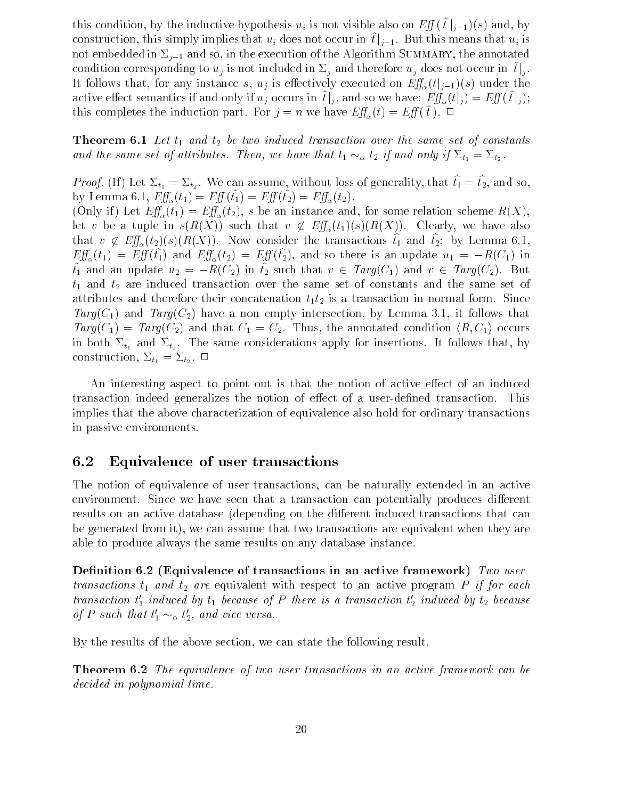this condition, by the inductive hypothesis  $u_i$  is not visible also on  $Eff(t|_{i-1})(s)$  and, by construction, this simply implies that  $u_i$  does not occur in  $\hat{t}|_{i-1}$ . But this means that  $u_i$  is not embedde in the execution of the and so in the and the Algorithm Summary the annotated and condition corresponding to  $u_j$  is not included in  $\Sigma_j$  and therefore  $u_j$  does not occur in  $t|_j$ . It follows that, for any instance s,  $u_j$  is effectively executed on  $Eff_\alpha(t|_{j-1})(s)$  under the jactive effect semantics if and only if  $u_j$  occurs in  $[\hat{t}]_j$ , and so we have:  $\mathit{Eff}_{\alpha}(t|_j) = \mathit{Eff}(\,\hat{t}|_j);$ this completes the induction part. For  $j = n$  we have  $E y_{\alpha}(t) = E y(t)$ ,  $\Box$ 

Theorem  $\Delta$  -constants and the same set of constants and the same set of constants and same set of constants and and the same set of attributes. Then, we have that  $t_1 \sim_\alpha t_2$  if and only if  $\Sigma_{t_1} = \Sigma_{t_2}$ .

Froof. (ii) Let  $\omega_{t_1} = \omega_{t_2}$ . We can assume, without loss of generality, that  $t_1 = t_2$ , and so, by Lemma 0.1,  $Ly_{\alpha}(t_1) - Ly_{\alpha}(t_1) - Ly_{\alpha}(t_2) - Ly_{\alpha}(t_2)$ .

 $\lambda = \nu$  if  $\lambda = \nu \alpha \lambda + \nu$  and for some relation scheme relation scheme  $\lambda$  instance  $\lambda$ let v be a tuple in  $s(R(X))$  such that  $v \notin$  $-\omega$   $\alpha$  (  $\alpha$  ) (  $\alpha$  ) (  $\alpha$  ) (  $\alpha$  ) (  $\alpha$  ) (  $\alpha$  ) (  $\alpha$  ) (  $\alpha$  ) (  $\alpha$  ) (  $\alpha$  ) (  $\alpha$  ) (  $\alpha$  ) (  $\alpha$  ) (  $\alpha$  ) (  $\alpha$  ) (  $\alpha$  ) (  $\alpha$  ) (  $\alpha$  ) (  $\alpha$  ) (  $\alpha$  ) (  $\alpha$  ) (  $\alpha$  ) (  $\alpha$  ) (  $\$ that  $v \notin \mathbb{R}$  $E_y(x_2)(s)(u_1(x_1))$ . Now consider the transactions  $t_1$  and  $t_2$ . by Bennina 0.1,  $E_{\text{tot}}(t_1) = E_{\text{tot}}(t_1)$  and  $E_{\text{tot}}(t_2) = E_{\text{tot}}(t_2)$ , and so there is an update  $u_1 = -R(C_1)$  in  $\tilde{t}_1$  and an update  $u_2 = -R(C_2)$  in  $\tilde{t}_2$  such that  $v \in \text{Targ}(C_1)$  and  $v \in \text{Targ}(C_2)$ . But that are induced transaction over the same set of constants and the same set of constants and the same set of constants and the same set of constants and the same set of constants and the same set of constants and the sam attributes and the form  $\mathbf{r}$  the form Since their concatenation in  $\mathbf{r}$ Targe  $H$  and  $H$  and  $H$  and  $H$  and  $H$  and  $H$  and  $H$  and  $H$  and  $H$  and  $H$  and  $H$  and  $H$  and  $H$  and  $H$  and  $H$  and  $H$  and  $H$  and  $H$  and  $H$  and  $H$  and  $H$  and  $H$  and  $H$  and  $H$  and  $H$  and  $H$  and  $H$  and  $Targ(C_1) = Targ(C_2)$  and that  $C_1 = C_2$ . Thus, the annotated condition  $\langle R, C_1 \rangle$  occurs in both  $\mathcal{L}_{t_1}$  and  $\mathcal{L}_{t_2}.$  The same considerations apply for insertions. It follows that, by construction,  $\equiv_{i_1}$   $\equiv_{i_2}$ .

An interesting aspect to point out is that the notion of active effect of an induced transaction indeed generalizes the notion of effect of a user-defined transaction. This implies that the above characterization of equivalence also hold for ordinary transactions in passive environments

#### $6.2$ Equivalence of user transactions

The notion of equivalence of user transactions, can be naturally extended in an active environment. Since we have seen that a transaction can potentially produces different results on an active database (depending on the different induced transactions that can be generated from it), we can assume that two transactions are equivalent when they are able to produce always the same results on any database instance

Denition Equivalence of transactions in an active framework Two user transactions that the equivalent with respect to an active program P if  $\alpha$  is an active program P if  $\alpha$ transaction  $\iota_1$  induced by  $\iota_1$  because of  $P$  there is a transaction  $\iota_2$  induced by  $\iota_2$  because of P such that  $t'_1 \sim_\alpha t'_2$ , and vice versa.

By the results of the above section, we can state the following result.

**Theorem 6.2** The equivalence of two user transactions in an active framework can be decided in polynomial time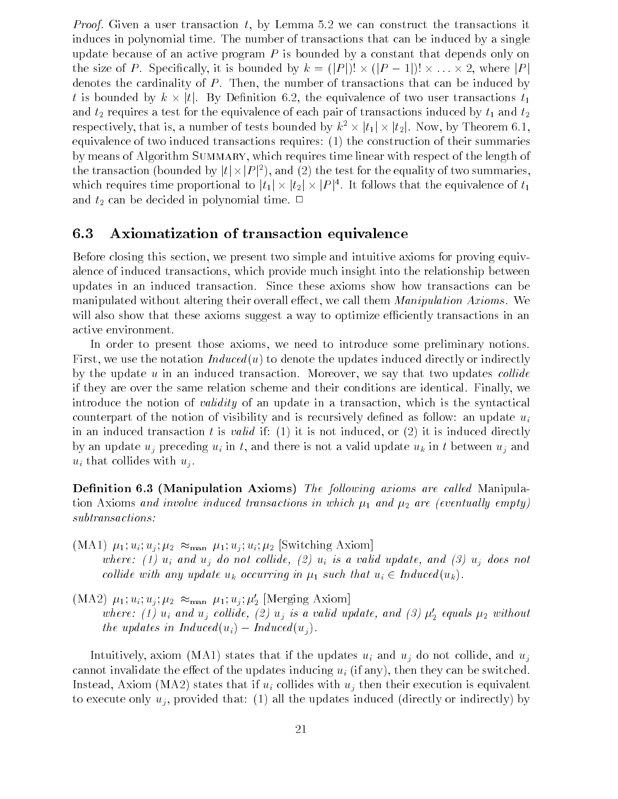*Proof.* Given a user transaction  $t$ , by Lemma 5.2 we can construct the transactions it induces in polynomial time. The number of transactions that can be induced by a single update because of an active program  $P$  is bounded by a constant that depends only on the size of P. Specifically, it is bounded by  $k = (|P|)! \times (|P-1|)! \times \ldots \times 2$ , where |P| denotes the cardinality of P Then the number of transactions that can be induced by the size of P. Specifically, it is bounded by  $k = (|P|)! \times (|P - 1|)! \times ... \times 2$ , where  $|P|$  denotes the cardinality of P. Then, the number of transactions that can be induced by t is bounded by  $k \times |t|$ . By Definition 6.2, the and t-2 t-t-quires at t-t-t-t-t-t-t-t-t-quires and transactions in transactions induced by the entry the control  $2$ respectively, that is, a number of tests bounded by  $k^2 \times |t_1| \times |t_2|$ . Now, by Theorem 6.1, valence of<br>of transacti<br> $\times|t_1|\times|t_2|$ equivalence of two induced transactions requires:  $(1)$  the construction of their summaries by means of Algorithm SUMMARY, which requires time linear with respect of the length of the transaction (bounded by  $|t| \times |P|^2$ ), and (2) the test for the equality of two summaries, which requires time proportional to  $|t_1| \times |t_2| \times |P|^4$ . It follows that the equivalence of  $t_1$ and t-can be decided in polynomial time time time to

#### $6.3$ Axiomatization of transaction equivalence

Before closing this section, we present two simple and intuitive axioms for proving equivalence of induced transactions, which provide much insight into the relationship between updates in an induced transaction. Since these axioms show how transactions can be manipulated without altering their overall effect, we call them *Manipulation Axioms*. We will also show that these axioms suggest a way to optimize efficiently transactions in an active environment

In order to present those axioms, we need to introduce some preliminary notions. First, we use the notation  $Induced(u)$  to denote the updates induced directly or indirectly by the update  $u$  in an induced transaction. Moreover, we say that two updates *collide* if they are over the same relation scheme and their conditions are identical Finally we introduce the notion of *validity* of an update in a transaction, which is the syntactical counterpart of the notion of visibility and is recursively defined as follow: an update  $u_i$ in an induced transaction t is *valid* if: (1) it is not induced, or (2) it is induced directly by an update  $u_i$  preceding  $u_i$  in t, and there is not a valid update  $u_k$  in t between  $u_i$  and  $u_i$  that collides with  $u_i$ .

Denition Manipulation Axioms The fol lowing axioms are cal led Manipula tion are eventual distributions in and are eventually in which  $r_1$  and  $r_2$  and  $r_3$  and  $r_4$  and  $r_5$ subtransactions

- $(MA1)$   $\mu_1; u_i; u_j; \mu_2 \approx_{\text{man}} \mu_1; u_j; u_i; \mu_2$  [Switching Axiom] where the collider of the collider of the collider of the collider of the collider of the collider of the collider of the collider of the collider of the collider of the collider of the collider of the collider of the coll collide with any update  $u_k$  occurring in  $\mu_1$  such that  $u_i \in Induced(u_k)$ .
- $(MA2)$   $\mu_1; u_i; u_j; \mu_2 \approx_{\text{man}} \mu_1; u_j; \mu'_2$  [Merging Axiom] where: (1)  $u_i$  and  $u_j$  coinde, (2)  $u_j$  is a valia update, and (3)  $\mu_2$  equals  $\mu_2$  without the updates in Induced  $(u_i)$  – Induced  $(u_i)$ .

Intuitively, axiom (MA1) states that if the updates  $u_i$  and  $u_j$  do not collide, and  $u_j$ cannot invalidate the effect of the updates inducing  $u_i$  (if any), then they can be switched. Instead, Axiom (MA2) states that if  $u_i$  collides with  $u_j$  then their execution is equivalent to execute only  $u_i$ , provided that: (1) all the updates induced (directly or indirectly) by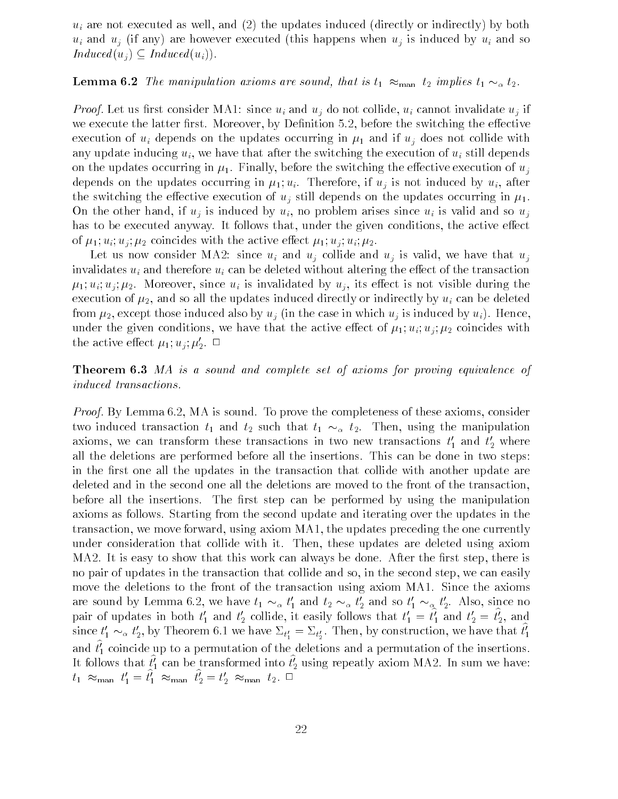$u_i$  are not executed as well, and (2) the updates induced (directly or indirectly) by both  $u_i$  and  $u_j$  (if any) are however executed (this happens when  $u_j$  is induced by  $u_i$  and so  $Induced(u_i) \subseteq Induced(u_i)).$ 

## **Lemma 6.2** The manipulation axioms are sound, that is  $t_1 \approx_{\text{man}} t_2$  implies  $t_1 \sim_\alpha t_2$ .

*Proof.* Let us first consider MA1: since  $u_i$  and  $u_j$  do not collide,  $u_i$  cannot invalidate  $u_j$  if we execute the latter first. Moreover, by Definition 5.2, before the switching the effective execution of updates on the updates or the updates of  $\mathbb{Z}$  in  $\mathbb{Z}$  and if used the updates in any update inducing  $u_i$ , we have that after the switching the execution of  $u_i$  still depends on the updates of updates occurring in  $\mathcal{C}$  the execution of uncertainty execution of users of users of users of u depends on the updates of the understand in 1920. In the second in after the second second if under a the switching the switching the execution of uj still depends on the updates on the updates on the updates of u On the other hand, if  $u_i$  is induced by  $u_i$ , no problem arises since  $u_i$  is valid and so  $u_i$ has to be executed anyway. It follows that, under the given conditions, the active effect of 1981 - 1981 - 1982 - 1983 - 1983 - 1983 - 1984 - 1986 - 1986 - 1986 - 1986 - 1986 - 1986 - 1986 - 1986 - 19

Let us now consider MA2: since  $u_i$  and  $u_j$  collide and  $u_j$  is valid, we have that  $u_j$ invalidates  $u_i$  and therefore  $u_i$  can be deleted without altering the effect of the transaction - ui uj -- Moreover since ui is invalidated by uj its eect is not visible during the execution of - and so all the updates induced directly by understanding by understanding by understanding by u from the case induced also by understanding the case in which use in which use in which use in which use in th under the given conditions with the same that the active extent of  $\mu_1$  ,  $\mu_1$  ,  $\mu_2$  conditions with the active effect  $\mu_1, u_j, \mu_2$ .  $\Box$ 

**Theorem 6.3** MA is a sound and complete set of axioms for proving equivalence of induced transactions

*Proof.* By Lemma 6.2, MA is sound. To prove the completeness of these axioms, consider two induced transaction  $t_1$  and  $t_2$  such that  $t_1 \sim_\alpha t_2$ . Then, using the manipulation axioms, we can transform these transactions in two new transactions  $\iota_1$  and  $\iota_2$  where all the deletions are performed before all the insertions. This can be done in two steps: in the first one all the updates in the transaction that collide with another update are deleted and in the second one all the deletions are moved to the front of the transaction before all the insertions. The first step can be performed by using the manipulation axioms as follows. Starting from the second update and iterating over the updates in the transaction, we move forward, using axiom  $MA1$ , the updates preceding the one currently under consideration that collide with it. Then, these updates are deleted using axiom MA2. It is easy to show that this work can always be done. After the first step, there is no pair of updates in the transaction that collide and so, in the second step, we can easily move the deletions to the front of the transaction using axiom MA1. Since the axioms are sound by Lemma 6.2, we have  $t_1 \sim_\alpha t_1'$  and  $t_2 \sim_\alpha t_2'$  and so  $t_1' \sim_\alpha t_2'$ . Also, since no pair of updates in both  $t_1$  and  $t_2$  coinde, it easily follows that  $t_1 = t_1$  and  $t_2 = t_2$ , and since  $t'_1 \sim_\alpha t'_2$ , by Theorem 6.1 we have  $\Sigma_{t'_1} = \Sigma_{t'_2}$ . Then, by construction, we have that  $t'_1$ and  $\iota_1$  coincide up to a permutation of the deletions and a permutation of the insertions. It follows that  $\iota_1$  can be transformed into  $\iota_2$  using repeatly axiom MA2. In sum we have:  $t_1 \approx_{\text{man}} t_1' = t_1' \approx_{\text{man}} t_2' = t_2' \approx_{\text{man}} t_2$ .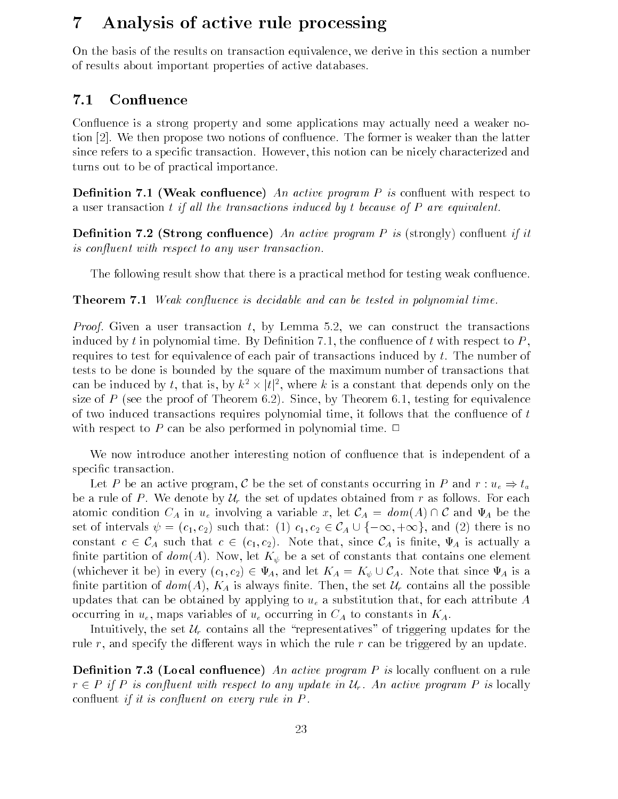# Analysis of active rule processing

On the basis of the results on transaction equivalence we derive in this section a number of results about important properties of active databases

#### 7.1 Confluence

Confluence is a strong property and some applications may actually need a weaker notion [2]. We then propose two notions of confluence. The former is weaker than the latter since refers to a specific transaction. However, this notion can be nicely characterized and turns out to be of practical importance

we access the program active program and the control of the control of the control of the control of the control of a user transaction t if all the transactions induced by t because of  $P$  are equivalent.

Denition Strong conuence An active program P is strongly conuent if it is confluent with respect to any user transaction.

The following result show that there is a practical method for testing weak confluence.

Theorem - Weak conuence is decidable and can be tested in polynomial time

*Proof.* Given a user transaction t, by Lemma 5.2, we can construct the transactions induced by t in polynomial time. By Definition 7.1, the confluence of t with respect to  $P$ . requires to test for equivalence of each pair of transactions induced by  $t$ . The number of tests to be done is bounded by the square of the maximum number of transactions that requires to test for equivalence of each pair of transactions induced by t. The number of<br>tests to be done is bounded by the square of the maximum number of transactions that<br>can be induced by t, that is, by  $k^2 \times |t|^2$ , size of P (see the proof of Theorem 6.2). Since, by Theorem 6.1, testing for equivalence of two induced transactions requires polynomial time, it follows that the confluence of  $t$ with respect to P can be also performed in polynomial time.  $\Box$ 

We now introduce another interesting notion of confluence that is independent of a specific transaction.

Let P be an active program, C be the set of constants occurring in P and  $r: u_{\epsilon} \Rightarrow t_a$ Let P be an active program, C be the set of constants occurring in P and  $r : u_e \Rightarrow t_a$ <br>be a rule of P. We denote by  $\mathcal{U}_r$  the set of updates obtained from r as follows. For each atomic condition  $C_A$  in  $u_e$  involving a variable x, let  $\mathcal{C}_A = dom(A) \cap \mathcal{C}$  and  $\Psi_A$  be the be a rule of P. We denote by  $\mathcal{U}_r$  the set of updates obtained from r as follows. For each atomic condition  $C_A$  in  $u_e$  involving a variable x, let  $\mathcal{C}_A = dom(A) \cap \mathcal{C}$  and  $\Psi_A$  be the set of intervals  $\psi = (c_1, c_2$ atomic condition  $C_A$  in  $u_e$  involving a<br>set of intervals  $\psi = (c_1, c_2)$  such that:<br>constant  $c \in C_A$  such that  $c \in (c_1, c_2)$ constant  $c \in C_A$  such that  $c \in (c_1, c_2)$ . Note that, since  $C_A$  is finite,  $\Psi_A$  is actually a nite partition of domain of  $\mathcal{U}$  be a set of constants that constants that constants that contains one elements on  $\mathcal{U}$ (whichever it be) in every  $(c_1, c_2) \in \Psi_A$ , and let  $K_A = K_{\psi} \cup C_A$ . Note that since  $\Psi_A$  is a  $(c_1, c_2)$ . Note that, since  $C_A$  is finite,  $\Psi_A$  is actually a<br>, let  $K_{\psi}$  be a set of constants that contains one element<br> $c \in \Psi_A$ , and let  $K_A = K_{\psi} \cup C_A$ . Note that since  $\Psi_A$  is a finite partition of  $dom(A)$ ,  $K_A$  is always finite. Then, the set  $\mathcal{U}_r$  contains all the possible updates that can be obtained by applying to  $u<sub>e</sub>$  a substitution that, for each attribute A occurring in  $u_e$ , maps variables of  $u_e$  occurring in  $C_A$  to constants in  $K_A$ .

Intuitively, the set  $\mathcal{U}_r$  contains all the "representatives" of triggering updates for the rule r, and specify the different ways in which the rule r can be triggered by an update.

 $\mathcal L$  and  $\mathcal L$  active program P is locally continuous program P is locally continuous program P is locally continuous program P is locally continuous program P is locally continuous program P is locally continuous prog  $r \in P$  if P is confluent with respect to any update in  $\mathcal{U}_r$ . An active program P is locally confluent if it is confluent on every rule in  $P$ .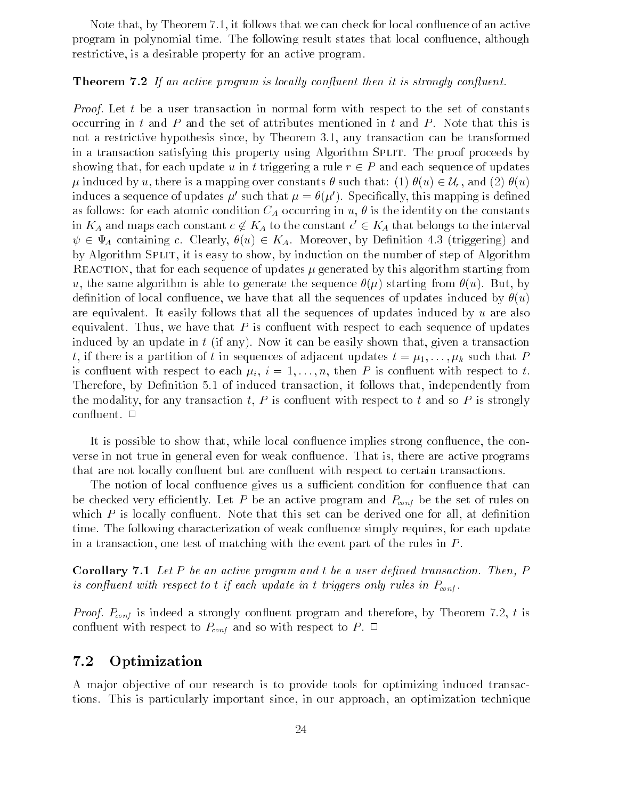Note that, by Theorem  $7.1$ , it follows that we can check for local confluence of an active program in polynomial time. The following result states that local confluence, although restrictive, is a desirable property for an active program.

## **Theorem 7.2** If an active program is locally confluent then it is strongly confluent.

*Proof.* Let t be a user transaction in normal form with respect to the set of constants occurring in t and P and the set of attributes mentioned in t and P. Note that this is and a restrictive hypothesis since by Theorem any transformed  $\mathcal{A}$ in a transaction satisfying this property using Algorithm SPLIT. The proof proceeds by showing that, for each update u in t triggering a rule  $r \in P$  and each sequence of updates  $\mu$  induced by u, there is a mapping over constants  $\theta$  such that: (1)  $\theta(u) \in \mathcal{U}_r$ , and (2)  $\theta(u)$ a transaction satisfying this property using Algorithm SPLIT. The proof proceeds by<br>owing that, for each update u in t triggering a rule  $r \in P$  and each sequence of updates<br>induced by u, there is a mapping over constants induces a sequence of updates  $\mu$  such that  $\mu = \theta(\mu)$ . Specifically, this mapping is defined as follows: for each atomic condition  $C_A$  occurring in u,  $\theta$  is the identity on the constants in  $K_A$  and maps each constant  $c \not \in A$  $K_A$  to the constant  $c' \in K_A$  that belongs to the interval  $\psi \in \Psi_A$  containing c. Clearly,  $\theta(u) \in K_A$ . Moreover, by Definition 4.3 (triggering) and by Algorithm Split it is easy to show by induction on the number of step of Algorithm reaction that for each sequence of updates -  $\mu$  . Updates -  $\mu$  , there are understood algorithm starting from us the same algorithm is able to generate the sequence - (p) starting from u But sequence  $\mathcal{L}$ definition of local confluence, we have that all the sequences of updates induced by  $\theta(u)$ are equivalent. It easily follows that all the sequences of updates induced by  $u$  are also equivalent. Thus, we have that  $P$  is confluent with respect to each sequence of updates induced by an update in  $t$  (if any). Now it can be easily shown that, given a transaction t is a partition of the sequences of adjacent updates of  $\mathcal{F}(\mathbf{1})$  . If  $\mathcal{F}(\mathbf{1})$ is contractive to the p is constant with respect to the constant to the contract with respect to the constant Therefore, by Definition 5.1 of induced transaction, it follows that, independently from the modality, for any transaction t, P is confluent with respect to t and so P is strongly confluent.  $\Box$ 

It is possible to show that, while local confluence implies strong confluence, the converse in not true in general even for weak confluence. That is, there are active programs that are not locally confluent but are confluent with respect to certain transactions.

The notion of local confluence gives us a sufficient condition for confluence that can be checked very efficiently. Let P be an active program and  $P_{conf}$  be the set of rules on which  $P$  is locally confluent. Note that this set can be derived one for all, at definition time. The following characterization of weak confluence simply requires, for each update in a transaction, one test of matching with the event part of the rules in  $P$ .

Corollary - Let P be an active program and t be a user dened transaction Then P is confluent with respect to t if each update in t triggers only rules in  $P_{cont}$ .

*Proof.*  $P_{conf}$  is indeed a strongly confluent program and therefore, by Theorem 7.2, t is confluent with respect to  $P_{conf}$  and so with respect to P.  $\Box$ 

#### 7.2 Optimization

A major objective of our research is to provide tools for optimizing induced transactions. This is particularly important since, in our approach, an optimization technique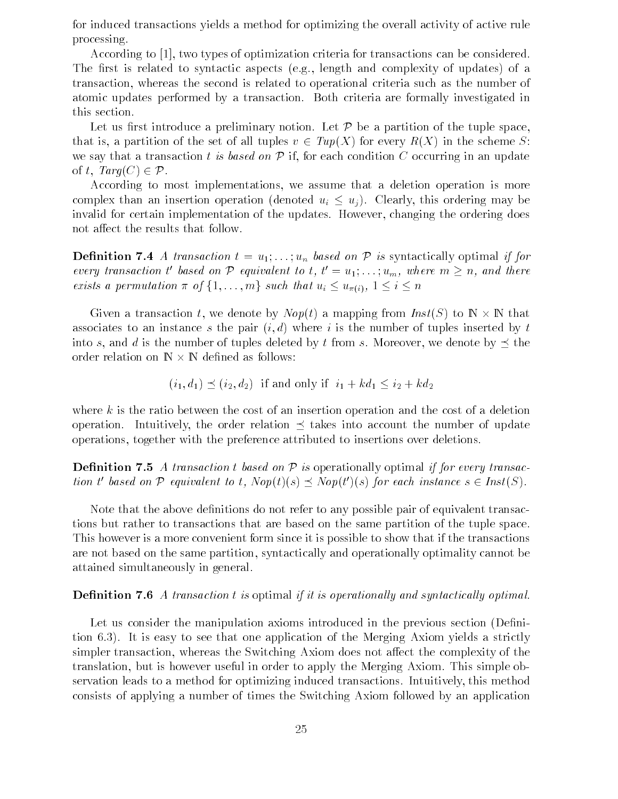for induced transactions yields a method for optimizing the overall activity of active rule processing

According to  $\left[1\right]$ , two types of optimization criteria for transactions can be considered. The first is related to syntactic aspects (e.g., length and complexity of updates) of a transaction, whereas the second is related to operational criteria such as the number of atomic updates performed by a transaction Both criteria are formally investigated in this section

Let us first introduce a preliminary notion. Let  $\mathcal P$  be a partition of the tuple space, that is, a partition of the set of all tuples  $v \in Tup(X)$  for every  $R(X)$  in the scheme S:<br>we say that a transaction t is based on  $P$  if, for each condition C occurring in an update<br>of t.  $Tara(C) \in P$ . we say that a transaction t is based on  $\mathcal P$  if, for each condition C occurring in an update

According to most implementations we assume that a deletion operation is more complex than an insertion operation (denoted  $u_i \leq u_j$ ). Clearly, this ordering may be invalid for certain implementation of the updates. However, changing the ordering does not affect the results that follow.

**Definition 7.4** A transaction  $t = u_1, \ldots, u_n$  based on  $\mathcal P$  is syntactically optimal if for every transaction t' based on P equivalent to t,  $t' = u_1; \ldots; u_m$ , where  $m \geq n$ , and there exists a permutation  $\pi$  of  $\{1, \ldots, m\}$  such that  $u_i \leq u_{\pi(i)}, 1 \leq i \leq n$ 

Given a transaction t, we denote by  $Nop(t)$  a mapping from  $Inst(S)$  to  $\mathbb{N} \times \mathbb{N}$  that associates to an instance s the pair  $(i, d)$  where i is the number of tuples inserted by t into s, and d is the number of tuples deleted by t from s. Moreover, we denote by  $\prec$  the order relation on  $\mathbb{N} \times \mathbb{N}$  defined as follows:

$$
(i_1, d_1) \preceq (i_2, d_2)
$$
 if and only if  $i_1 + kd_1 \leq i_2 + kd_2$ 

where  $k$  is the ratio between the cost of an insertion operation and the cost of a deletion operation. Intuitively, the order relation  $\prec$  takes into account the number of update operations together with the preference attributed to insertions over deletions

**Definition 7.5** A transaction t based on  $\mathcal{P}$  is operationally optimal if for every transaction t' based on P equivalent to t.  $Nop(t)(s) \prec Nop(t')(s)$  for each instance  $s \in Inst(S)$ .

Note that the above definitions do not refer to any possible pair of equivalent transactions but rather to transactions that are based on the same partition of the tuple space This however is a more convenient form since it is possible to show that if the transactions are not based on the same partition, syntactically and operationally optimality cannot be attained simultaneously in general

## **Definition 7.6** A transaction  $t$  is optimal if it is operationally and syntactically optimal.

Let us consider the manipulation axioms introduced in the previous section (Definition is the second one application of the Mergineer's and the Merginan theories a strictly and the Merginan st simpler transaction, whereas the Switching Axiom does not affect the complexity of the translation, but is however useful in order to apply the Merging Axiom. This simple observation leads to a method for optimizing induced transactions Intuitively this method consists of applying a number of times the Switching Axiom followed by an application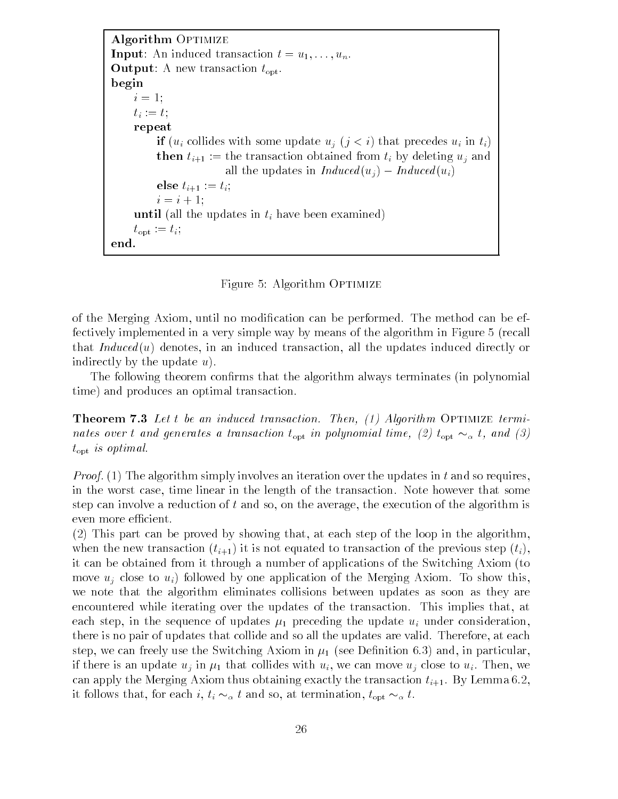Algorithm OPTIMIZE **Input:** An induced transaction  $t = u_1, \ldots, u_n$ . **Output:** A new transaction  $t_{\text{opt}}$ . begin  $i=1;$  $t_i := t;$ repeat if  $(u_i$  collides with some update  $u_j$   $(j < i)$  that precedes  $u_i$  in  $t_i$ ) then  $t_{i+1} :=$  the transaction obtained from  $t_i$  by deleting  $u_i$  and all the updates in  $Induced(u_i) - Induced(u_i)$ else  $t_{i+1} := t_i$ ;  $i = i + 1;$ until (all the updates in  $t_i$  have been examined)  $t_{\rm opt} := t_i;$ end 

Figure 5: Algorithm OPTIMIZE

of the Merging Axiom, until no modification can be performed. The method can be effectively implemented in a very simple way by means of the algorithm in Figure 5 (recall that  $Induced(u)$  denotes, in an induced transaction, all the updates induced directly or indirectly by the update  $u$ ).

The following theorem confirms that the algorithm always terminates (in polynomial time) and produces an optimal transaction.

Theorem Let t be an induced transaction Then - Algorithm Optimize termi nates over t and generates a transaction  $t_{\rm opt}$  in polynomial time, (2)  $t_{\rm opt} \sim_\alpha t$ , and (3)  $t_{\rm opt}$  is optimal.

*Proof.* (1) The algorithm simply involves an iteration over the updates in t and so requires, in the worst case, time linear in the length of the transaction. Note however that some step can involve a reduction of  $t$  and so, on the average, the execution of the algorithm is even more efficient.

 $(2)$  This part can be proved by showing that, at each step of the loop in the algorithm, when the new transaction  $(t_{i+1})$  it is not equated to transaction of the previous step  $(t_i)$ . it can be obtained from it through a number of applications of the Switching Axiom (to move  $u_i$  close to  $u_i$ ) followed by one application of the Merging Axiom. To show this. we note that the algorithm eliminates collisions between updates as soon as they are encountered while iterating over the updates of the transaction. This implies that, at each step in the step in the sequence of updates  $p$  in updates updates  $p$  under consideration  $p$  is there is no pair of updates that collide and so all the updates are valid. Therefore, at each step we can find a switching and in particular and in particular and in particular and in particular and in par if there is an update update update the collider with update  $\{1, \ldots, n\}$  with use  $\{1, \ldots, n\}$  with  $\{1, \ldots, n\}$ can apply the Merging Axiom thus obtaining exactly the transaction  $t_{i+1}$ . By Lemma 6.2, it follows that, for each i,  $t_i \sim_\alpha t$  and so, at termination,  $t_{\text{opt}} \sim_\alpha t$ .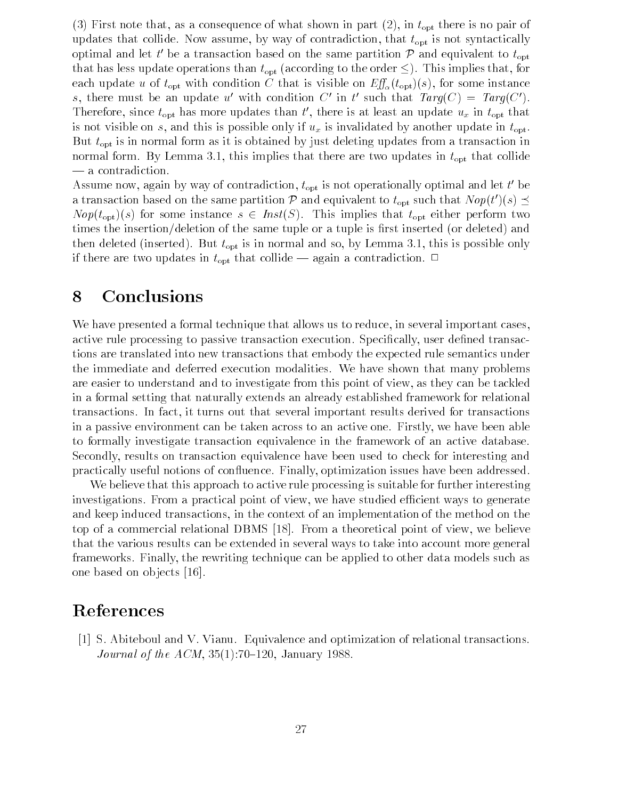First note that as a consequence of what shown in part 
 in topt there is no pair of updates that collide. Now assume, by way of contradiction, that  $t_{\rm opt}$  is not syntactically optimal and let t' be a transaction based on the same partition  $P$  and equivalent to  $t_{\text{opt}}$ that has less update operations than  $t_{\rm opt}$  (according to the order  $\leq$ ). This implies that, for each up and the topic with conditions  $\epsilon$  that is visible on  $-\omega_{\alpha}$  (topt)( )) for some instance  $\epsilon$ s, there must be an update u with condition  $\cup$  in t such that  $Iarg(\cup) = Iarg(\cup)$ . Therefore, since  $t_{\text{opt}}$  has more updates than  $t$ , there is at least an update  $u_x$  in  $t_{\text{opt}}$  that is not visible on s, and this is possible only if  $u_x$  is invalidated by another update in  $t_{\text{opt}}$ . But  $t_{\rm opt}$  is in normal form as it is obtained by just deleting updates from a transaction in in this implies that there are two updates that there are two updates that there are two updates in top that colliders in the colliders of the colliders in the colliders of the colliders in the colliders of the colliders — a contradiction.

Assume now, again by way of contradiction,  $t_{\rm opt}$  is not operationally optimal and let  $t_{\rm c}$  be a transaction based on the same partition P and equivalent to  $t_{\text{opt}}$  such that  $Nop(t')(s) \preceq$  $Nop(t_{opt})(s)$  for some instance  $s \in Inst(S)$ . This implies that  $t_{opt}$  either perform two times the insertion/deletion of the same tuple or a tuple is first inserted (or deleted) and the deleted in the serted but to  $\mathbf{L}(\mathbf{b})$  is the possible only and so by Lemma and  $\mathbf{b}$  is  $\mathbf{b}$ if there are two updates in  $t_{\text{opt}}$  that collide — again a contradiction.  $\Box$ 

# Conclusions

We have presented a formal technique that allows us to reduce, in several important cases. active rule processing to passive transaction execution. Specifically, user defined transactions are translated into new transactions that embody the expected rule semantics under the immediate and deferred execution modalities We have shown that many problems are easier to understand and to investigate from this point of view, as they can be tackled in a formal setting that naturally extends an already established framework for relational transactions In fact it turns out that several important results derived for transactions in a passive environment can be taken across to an active one. Firstly, we have been able to formally investigate transaction equivalence in the framework of an active database Secondly, results on transaction equivalence have been used to check for interesting and practically useful notions of confluence. Finally, optimization issues have been addressed.

We believe that this approach to active rule processing is suitable for further interesting investigations. From a practical point of view, we have studied efficient ways to generate and keep induced transactions in the context of an implementation of the method on the top of a commercial relational DBMS - From a theoretical point of view we believe that the various results can be extended in several ways to take into account more general frameworks Finally the rewriting technique can be applied to other data models such as one based on objects [16].

# References

[1] S. Abiteboul and V. Vianu. Equivalence and optimization of relational transactions. Journal of the ACM January --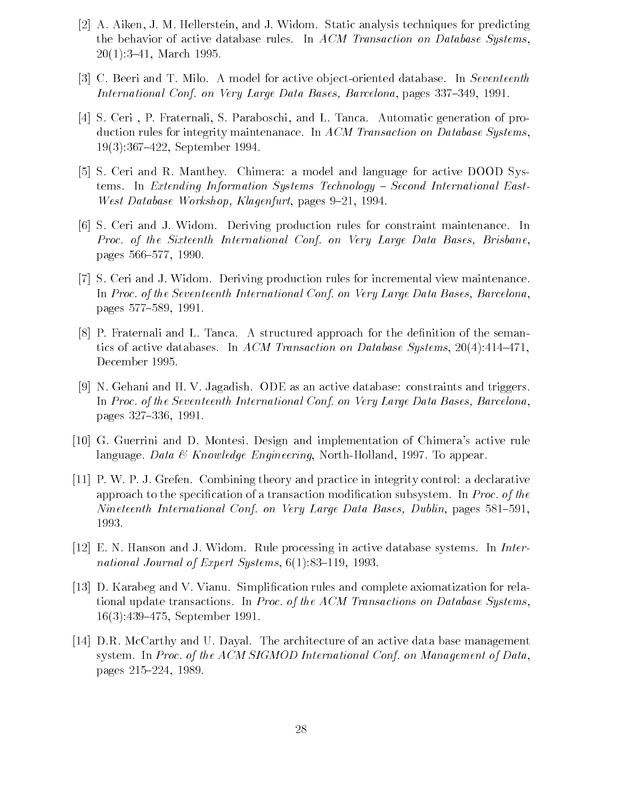- [2] A. Aiken, J. M. Hellerstein, and J. Widom. Static analysis techniques for predicting the behavior of active database rules. In ACM Transaction on Database Systems. march and the contract of the contract of the contract of the contract of the contract of the contract of the contract of the contract of the contract of the contract of the contract of the contract of the contract of the
- c Beerican and T Milo A model for a model for active or and the second database In Seventeenth In Seventeenth enternational confliction of groups were determined by a stational pages of the station of the station of the
- [4] S. Ceri, P. Fraternali, S. Paraboschi, and L. Tanca. Automatic generation of production rules for integrity maintenanace. In  $ACM$  Transaction on Database Systems. se je je se se se september se se se se
- [5] S. Ceri and R. Manthey. Chimera: a model and language for active DOOD Systems. In Extending Information Systems Technology – Second International Eastwest based and the contract of the company work pages to be a state of the contract of the contract of the contract of the contract of the contract of the contract of the contract of the contract of the contract of the con
- [6] S. Ceri and J. Widom. Deriving production rules for constraint maintenance. In Proc of the Sixteenth International Conf on Very Large Data Bases Brisbane pages 566-577, 1990.
- [7] S. Ceri and J. Widom. Deriving production rules for incremental view maintenance. In Proc of the Seventeenth International Conf on Very Large Data Bases Barcelona pages of  $\mathcal{P}$  and  $\mathcal{P}$  are parameters of  $\mathcal{P}$  and  $\mathcal{P}$  are parameters of  $\mathcal{P}$
- P Fraternali and L Tanca A structured approach for the denition of the seman tics of active databases. In ACM Transaction on Database Systems,  $20(4)$ :414-471. December
- [9] N. Gehani and H. V. Jagadish. ODE as an active database: constraints and triggers. In Proc of the Seventeenth International Conf on Very Large Data Bases Barcelona pages to the contract of the contract of the contract of the contract of the contract of the contract of the contract of the contract of the contract of the contract of the contract of the contract of the contract of the
- [10] G. Guerrini and D. Montesi. Design and implementation of Chimera's active rule language. Data & Knowledge Engineering, North-Holland, 1997. To appear.
- $[11]$  P.W. P.J. Grefen. Combining theory and practice in integrity control: a declarative approach to the specification of a transaction modification subsystem. In Proc. of the Nineteenth International Conf on Very Large Data Bases Dublin pages -
- [12] E. N. Hanson and J. Widom. Rule processing in active database systems. In International Journal of Expert Systems - Systems - Systems - Systems - Systems - Systems - Systems - Systems - Systems - Systems - Systems - Systems - Systems - Systems - Systems - Systems - Systems - Systems - Systems - Syste
- D Karabeg and V Vianu Simplication rules and complete axiomatization for rela tional update transactions. In Proc. of the ACM Transactions on Database Systems. September 1986 and 1986 and 1986 and 1986 and 1986 and 1986 and 1986 and 1986 and 1986 and 1986 and 1986 and
- [14] D.R. McCarthy and U. Dayal. The architecture of an active data base management system. In Proc. of the ACM SIGMOD International Conf. on Management of Data.  $\blacksquare$  . The set of the set of the set of the set of the set of the set of the set of the set of the set of the set of the set of the set of the set of the set of the set of the set of the set of the set of the set of the